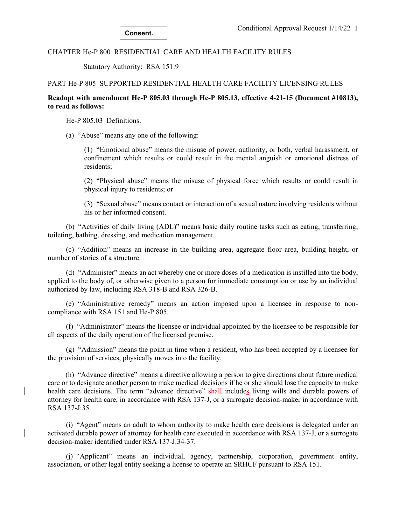## CHAPTER He-P 800 RESIDENTIAL CARE AND HEALTH FACILITY RULES

Statutory Authority: RSA 151:9

## PART He-P 805 SUPPORTED RESIDENTIAL HEALTH CARE FACILITY LICENSING RULES

# **Readopt with amendment He-P 805.03 through He-P 805.13, effective 4-21-15 (Document #10813), to read as follows:**

He-P 805.03 Definitions.

(a) "Abuse" means any one of the following:

(1) "Emotional abuse" means the misuse of power, authority, or both, verbal harassment, or confinement which results or could result in the mental anguish or emotional distress of residents;

(2) "Physical abuse" means the misuse of physical force which results or could result in physical injury to residents; or

(3) "Sexual abuse" means contact or interaction of a sexual nature involving residents without his or her informed consent.

 (b) "Activities of daily living (ADL)" means basic daily routine tasks such as eating, transferring, toileting, bathing, dressing, and medication management.

 (c) "Addition" means an increase in the building area, aggregate floor area, building height, or number of stories of a structure.

 (d) "Administer" means an act whereby one or more doses of a medication is instilled into the body, applied to the body of, or otherwise given to a person for immediate consumption or use by an individual authorized by law, including RSA 318-B and RSA 326-B.

 (e) "Administrative remedy" means an action imposed upon a licensee in response to noncompliance with RSA 151 and He-P 805.

 (f) "Administrator" means the licensee or individual appointed by the licensee to be responsible for all aspects of the daily operation of the licensed premise.

 (g) "Admission" means the point in time when a resident, who has been accepted by a licensee for the provision of services, physically moves into the facility.

(h) "Advance directive" means a directive allowing a person to give directions about future medical care or to designate another person to make medical decisions if he or she should lose the capacity to make health care decisions. The term "advance directive" shall-includes living wills and durable powers of attorney for health care, in accordance with RSA 137-J, or a surrogate decision-maker in accordance with RSA 137-J:35.

 (i) "Agent" means an adult to whom authority to make health care decisions is delegated under an activated durable power of attorney for health care executed in accordance with RSA 137-J<sub>z</sub> or a surrogate decision-maker identified under RSA 137-J:34-37.

 (j) "Applicant" means an individual, agency, partnership, corporation, government entity, association, or other legal entity seeking a license to operate an SRHCF pursuant to RSA 151.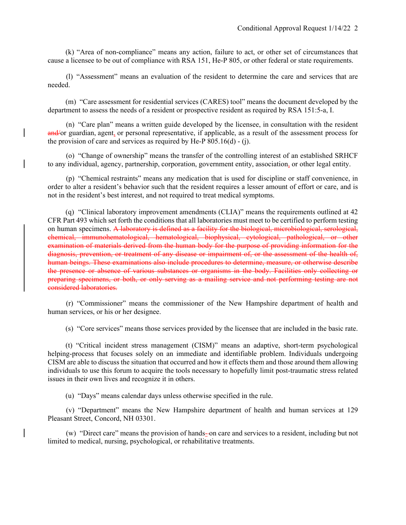(k) "Area of non-compliance" means any action, failure to act, or other set of circumstances that cause a licensee to be out of compliance with RSA 151, He-P 805, or other federal or state requirements.

 (l) "Assessment" means an evaluation of the resident to determine the care and services that are needed.

(m) "Care assessment for residential services (CARES) tool" means the document developed by the department to assess the needs of a resident or prospective resident as required by RSA 151:5-a, I.

 (n) "Care plan" means a written guide developed by the licensee, in consultation with the resident and/or guardian, agent, or personal representative, if applicable, as a result of the assessment process for the provision of care and services as required by He-P 805.16(d) - (j).

 (o) "Change of ownership" means the transfer of the controlling interest of an established SRHCF to any individual, agency, partnership, corporation, government entity, association, or other legal entity.

 (p) "Chemical restraints" means any medication that is used for discipline or staff convenience, in order to alter a resident's behavior such that the resident requires a lesser amount of effort or care, and is not in the resident's best interest, and not required to treat medical symptoms.

(q) "Clinical laboratory improvement amendments (CLIA)" means the requirements outlined at 42 CFR Part 493 which set forth the conditions that all laboratories must meet to be certified to perform testing on human specimens. A laboratory is defined as a facility for the biological, microbiological, serological, chemical, immunohematological, hematological, biophysical, cytological, pathological, or other examination of materials derived from the human body for the purpose of providing information for the diagnosis, prevention, or treatment of any disease or impairment of, or the assessment of the health of, human beings. These examinations also include procedures to determine, measure, or otherwise describe the presence or absence of various substances or organisms in the body. Facilities only collecting or preparing specimens, or both, or only serving as a mailing service and not performing testing are not considered laboratories.

 (r) "Commissioner" means the commissioner of the New Hampshire department of health and human services, or his or her designee.

(s) "Core services" means those services provided by the licensee that are included in the basic rate.

 (t) "Critical incident stress management (CISM)" means an adaptive, short-term psychological helping-process that focuses solely on an immediate and identifiable problem. Individuals undergoing CISM are able to discuss the situation that occurred and how it effects them and those around them allowing individuals to use this forum to acquire the tools necessary to hopefully limit post-traumatic stress related issues in their own lives and recognize it in others.

(u) "Days" means calendar days unless otherwise specified in the rule.

 (v) "Department" means the New Hampshire department of health and human services at 129 Pleasant Street, Concord, NH 03301.

(w) "Direct care" means the provision of hands-on care and services to a resident, including but not limited to medical, nursing, psychological, or rehabilitative treatments.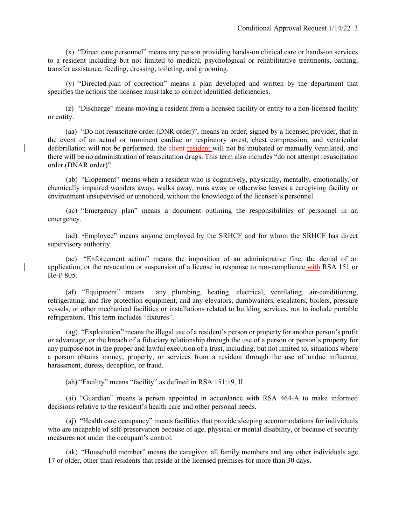(x) "Direct care personnel" means any person providing hands-on clinical care or hands-on services to a resident including but not limited to medical, psychological or rehabilitative treatments, bathing, transfer assistance, feeding, dressing, toileting, and grooming.

 (y) "Directed plan of correction" means a plan developed and written by the department that specifies the actions the licensee must take to correct identified deficiencies.

 (z) "Discharge" means moving a resident from a licensed facility or entity to a non-licensed facility or entity.

 (aa) "Do not resuscitate order (DNR order)", means an order, signed by a licensed provider, that in the event of an actual or imminent cardiac or respiratory arrest, chest compression, and ventricular defibrillation will not be performed, the elient-resident will not be intubated or manually ventilated, and there will be no administration of resuscitation drugs. This term also includes "do not attempt resuscitation order (DNAR order)".

 (ab) "Elopement" means when a resident who is cognitively, physically, mentally, emotionally, or chemically impaired wanders away, walks away, runs away or otherwise leaves a caregiving facility or environment unsupervised or unnoticed, without the knowledge of the licensee's personnel.

 (ac) "Emergency plan" means a document outlining the responsibilities of personnel in an emergency.

 (ad) "Employee" means anyone employed by the SRHCF and for whom the SRHCF has direct supervisory authority.

 (ae) "Enforcement action" means the imposition of an administrative fine, the denial of an application, or the revocation or suspension of a license in response to non-compliance with RSA 151 or He-P 805.

 (af) "Equipment" means any plumbing, heating, electrical, ventilating, air-conditioning, refrigerating, and fire protection equipment, and any elevators, dumbwaiters, escalators, boilers, pressure vessels, or other mechanical facilities or installations related to building services, not to include portable refrigerators. This term includes "fixtures".

 (ag) "Exploitation" means the illegal use of a resident's person or property for another person's profit or advantage, or the breach of a fiduciary relationship through the use of a person or person's property for any purpose not in the proper and lawful execution of a trust, including, but not limited to, situations where a person obtains money, property, or services from a resident through the use of undue influence, harassment, duress, deception, or fraud.

(ah) "Facility" means "facility" as defined in RSA 151:19, II.

 (ai) "Guardian" means a person appointed in accordance with RSA 464-A to make informed decisions relative to the resident's health care and other personal needs.

 (aj) "Health care occupancy" means facilities that provide sleeping accommodations for individuals who are incapable of self-preservation because of age, physical or mental disability, or because of security measures not under the occupant's control.

 (ak) "Household member" means the caregiver, all family members and any other individuals age 17 or older, other than residents that reside at the licensed premises for more than 30 days.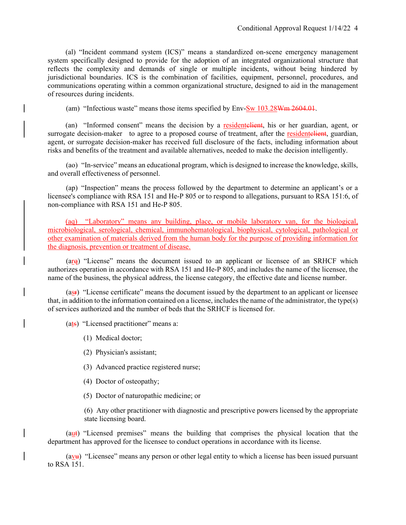(al) "Incident command system (ICS)" means a standardized on-scene emergency management system specifically designed to provide for the adoption of an integrated organizational structure that reflects the complexity and demands of single or multiple incidents, without being hindered by jurisdictional boundaries. ICS is the combination of facilities, equipment, personnel, procedures, and communications operating within a common organizational structure, designed to aid in the management of resources during incidents.

(am) "Infectious waste" means those items specified by Env-Sw 103.28Wm 2604.01.

(an) "Informed consent" means the decision by a residentelient, his or her guardian, agent, or surrogate decision-maker to agree to a proposed course of treatment, after the residentelient, guardian, agent, or surrogate decision-maker has received full disclosure of the facts, including information about risks and benefits of the treatment and available alternatives, needed to make the decision intelligently.

 (ao) "In-service" means an educational program, which is designed to increase the knowledge, skills, and overall effectiveness of personnel.

 (ap) "Inspection" means the process followed by the department to determine an applicant's or a licensee's compliance with RSA 151 and He-P 805 or to respond to allegations, pursuant to RSA 151:6, of non-compliance with RSA 151 and He-P 805.

(aq) "Laboratory" means any building, place, or mobile laboratory van, for the biological, microbiological, serological, chemical, immunohematological, biophysical, cytological, pathological or other examination of materials derived from the human body for the purpose of providing information for the diagnosis, prevention or treatment of disease.

 $(\text{arg})$  "License" means the document issued to an applicant or licensee of an SRHCF which authorizes operation in accordance with RSA 151 and He-P 805, and includes the name of the licensee, the name of the business, the physical address, the license category, the effective date and license number.

 (asr) "License certificate" means the document issued by the department to an applicant or licensee that, in addition to the information contained on a license, includes the name of the administrator, the type(s) of services authorized and the number of beds that the SRHCF is licensed for.

(ats) "Licensed practitioner" means a:

- (1) Medical doctor;
- (2) Physician's assistant;
- (3) Advanced practice registered nurse;
- (4) Doctor of osteopathy;
- (5) Doctor of naturopathic medicine; or

(6) Any other practitioner with diagnostic and prescriptive powers licensed by the appropriate state licensing board.

 (aut) "Licensed premises" means the building that comprises the physical location that the department has approved for the licensee to conduct operations in accordance with its license.

 $(ay)$  "Licensee" means any person or other legal entity to which a license has been issued pursuant to RSA 151.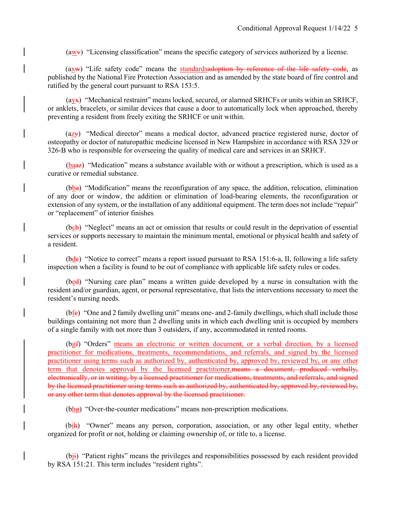$(awx)$  "Licensing classification" means the specific category of services authorized by a license.

 $(axw)$  "Life safety code" means the standardsadoption by reference of the life safety code, as published by the National Fire Protection Association and as amended by the state board of fire control and ratified by the general court pursuant to RSA 153:5.

 $\left(\frac{\text{ayx}}{\text{x}}\right)$  "Mechanical restraint" means locked, secured, or alarmed SRHCFs or units within an SRHCF, or anklets, bracelets, or similar devices that cause a door to automatically lock when approached, thereby preventing a resident from freely exiting the SRHCF or unit within.

 (azy) "Medical director" means a medical doctor, advanced practice registered nurse, doctor of osteopathy or doctor of naturopathic medicine licensed in New Hampshire in accordance with RSA 329 or 326-B who is responsible for overseeing the quality of medical care and services in an SRHCF.

 (baaz) "Medication" means a substance available with or without a prescription, which is used as a curative or remedial substance.

 $(bba)$  "Modification" means the reconfiguration of any space, the addition, relocation, elimination of any door or window, the addition or elimination of load-bearing elements, the reconfiguration or extension of any system, or the installation of any additional equipment. The term does not include "repair" or "replacement" of interior finishes.

 (bcb) "Neglect" means an act or omission that results or could result in the deprivation of essential services or supports necessary to maintain the minimum mental, emotional or physical health and safety of a resident.

 (bdc) "Notice to correct" means a report issued pursuant to RSA 151:6-a, II, following a life safety inspection when a facility is found to be out of compliance with applicable life safety rules or codes.

 (bed) "Nursing care plan" means a written guide developed by a nurse in consultation with the resident and/or guardian, agent, or personal representative, that lists the interventions necessary to meet the resident's nursing needs.

 (bfe) "One and 2 family dwelling unit" means one- and 2-family dwellings, which shall include those buildings containing not more than 2 dwelling units in which each dwelling unit is occupied by members of a single family with not more than 3 outsiders, if any, accommodated in rented rooms.

 (bgf) "Orders" means an electronic or written document, or a verbal direction, by a licensed practitioner for medications, treatments, recommendations, and referrals, and signed by the licensed practitioner using terms such as authorized by, authenticated by, approved by, reviewed by, or any other term that denotes approval by the licensed practitioner. means a document, produced verbally, electronically, or in writing, by a licensed practitioner for medications, treatments, and referrals, and signed by the licensed practitioner using terms such as authorized by, authenticated by, approved by, reviewed by, or any other term that denotes approval by the licensed practitioner.

 $(bh\theta)$  "Over-the-counter medications" means non-prescription medications.

 (bih) "Owner" means any person, corporation, association, or any other legal entity, whether organized for profit or not, holding or claiming ownership of, or title to, a license.

(b<sub>i<sup>i</sub>)</sup> "Patient rights" means the privileges and responsibilities possessed by each resident provided</sub> by RSA 151:21. This term includes "resident rights".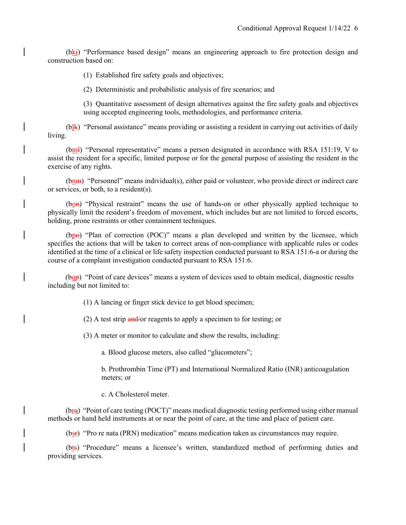$(bk)$  "Performance based design" means an engineering approach to fire protection design and construction based on:

(1) Established fire safety goals and objectives;

(2) Deterministic and probabilistic analysis of fire scenarios; and

(3) Quantitative assessment of design alternatives against the fire safety goals and objectives using accepted engineering tools, methodologies, and performance criteria.

 $(b)$ <sup>k</sup>) "Personal assistance" means providing or assisting a resident in carrying out activities of daily living.

(bml) "Personal representative" means a person designated in accordance with RSA 151:19, V to assist the resident for a specific, limited purpose or for the general purpose of assisting the resident in the exercise of any rights.

 $(bn)$  "Personnel" means individual(s), either paid or volunteer, who provide direct or indirect care or services, or both, to a resident(s).

(bon) "Physical restraint" means the use of hands-on or other physically applied technique to physically limit the resident's freedom of movement, which includes but are not limited to forced escorts, holding, prone restraints or other containment techniques.

(bpe) "Plan of correction (POC)" means a plan developed and written by the licensee, which specifies the actions that will be taken to correct areas of non-compliance with applicable rules or codes identified at the time of a clinical or life safety inspection conducted pursuant to RSA 151:6-a or during the course of a complaint investigation conducted pursuant to RSA 151:6.

(bqp) "Point of care devices" means a system of devices used to obtain medical, diagnostic results including but not limited to:

(1) A lancing or finger stick device to get blood specimen;

(2) A test strip and/or reagents to apply a specimen to for testing; or

(3) A meter or monitor to calculate and show the results, including:

a. Blood glucose meters, also called "glucometers";

b. Prothrombin Time (PT) and International Normalized Ratio (INR) anticoagulation meters; or

c. A Cholesterol meter.

(bre) "Point of care testing (POCT)" means medical diagnostic testing performed using either manual methods or hand held instruments at or near the point of care, at the time and place of patient care.

(bsr) "Pro re nata (PRN) medication" means medication taken as circumstances may require.

 (bts) "Procedure" means a licensee's written, standardized method of performing duties and providing services.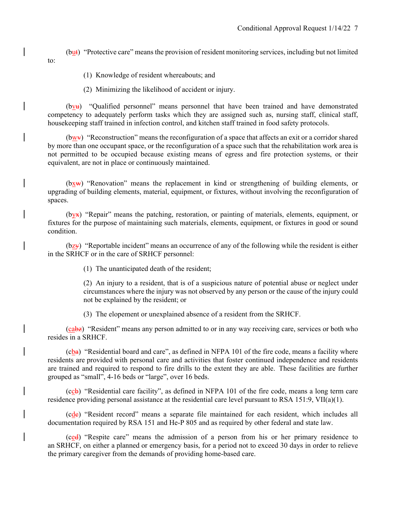- (but) "Protective care" means the provision of resident monitoring services, including but not limited
	- (1) Knowledge of resident whereabouts; and

to:

(2) Minimizing the likelihood of accident or injury.

 (bvu) "Qualified personnel" means personnel that have been trained and have demonstrated competency to adequately perform tasks which they are assigned such as, nursing staff, clinical staff, housekeeping staff trained in infection control, and kitchen staff trained in food safety protocols.

 (bwv) "Reconstruction" means the reconfiguration of a space that affects an exit or a corridor shared by more than one occupant space, or the reconfiguration of a space such that the rehabilitation work area is not permitted to be occupied because existing means of egress and fire protection systems, or their equivalent, are not in place or continuously maintained.

 (bxw) "Renovation" means the replacement in kind or strengthening of building elements, or upgrading of building elements, material, equipment, or fixtures, without involving the reconfiguration of spaces.

 $(b)$ <sup>x</sup>) "Repair" means the patching, restoration, or painting of materials, elements, equipment, or fixtures for the purpose of maintaining such materials, elements, equipment, or fixtures in good or sound condition.

 $(bz)$  "Reportable incident" means an occurrence of any of the following while the resident is either in the SRHCF or in the care of SRHCF personnel:

(1) The unanticipated death of the resident;

(2) An injury to a resident, that is of a suspicious nature of potential abuse or neglect under circumstances where the injury was not observed by any person or the cause of the injury could not be explained by the resident; or

(3) The elopement or unexplained absence of a resident from the SRHCF.

 (cabz) "Resident" means any person admitted to or in any way receiving care, services or both who resides in a SRHCF.

 $(cba)$  "Residential board and care", as defined in NFPA 101 of the fire code, means a facility where residents are provided with personal care and activities that foster continued independence and residents are trained and required to respond to fire drills to the extent they are able. These facilities are further grouped as "small", 4-16 beds or "large", over 16 beds.

 $(ccb)$  "Residential care facility", as defined in NFPA 101 of the fire code, means a long term care residence providing personal assistance at the residential care level pursuant to RSA 151:9, VII(a)(1).

 (cdc) "Resident record" means a separate file maintained for each resident, which includes all documentation required by RSA 151 and He-P 805 and as required by other federal and state law.

 (ced) "Respite care" means the admission of a person from his or her primary residence to an SRHCF, on either a planned or emergency basis, for a period not to exceed 30 days in order to relieve the primary caregiver from the demands of providing home-based care.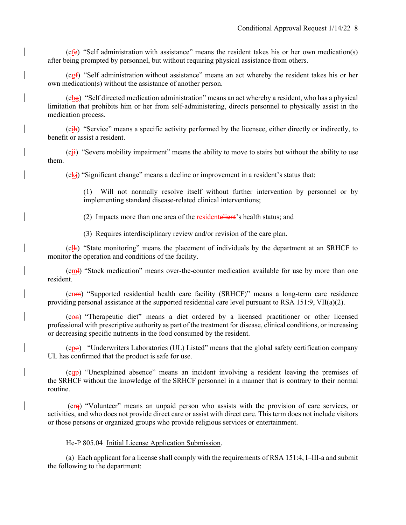(cfe) "Self administration with assistance" means the resident takes his or her own medication(s) after being prompted by personnel, but without requiring physical assistance from others.

 $(cgf)$  "Self administration without assistance" means an act whereby the resident takes his or her own medication(s) without the assistance of another person.

 $(chg)$  "Self directed medication administration" means an act whereby a resident, who has a physical limitation that prohibits him or her from self-administering, directs personnel to physically assist in the medication process.

 $(cih)$  "Service" means a specific activity performed by the licensee, either directly or indirectly, to benefit or assist a resident.

 $(c_{ij})$  "Severe mobility impairment" means the ability to move to stairs but without the ability to use them.

 $(ck<sub>i</sub>)$  "Significant change" means a decline or improvement in a resident's status that:

(1) Will not normally resolve itself without further intervention by personnel or by implementing standard disease-related clinical interventions;

(2) Impacts more than one area of the resident electricity is health status; and

(3) Requires interdisciplinary review and/or revision of the care plan.

 $(c_1 \⊂>l)$  "State monitoring" means the placement of individuals by the department at an SRHCF to monitor the operation and conditions of the facility.

 $(c_{m})$  "Stock medication" means over-the-counter medication available for use by more than one resident.

 (cnm) "Supported residential health care facility (SRHCF)" means a long-term care residence providing personal assistance at the supported residential care level pursuant to RSA 151:9, VII(a)(2).

 (con) "Therapeutic diet" means a diet ordered by a licensed practitioner or other licensed professional with prescriptive authority as part of the treatment for disease, clinical conditions, or increasing or decreasing specific nutrients in the food consumed by the resident.

 (cpo) "Underwriters Laboratories (UL) Listed" means that the global safety certification company UL has confirmed that the product is safe for use.

 (cqp) "Unexplained absence" means an incident involving a resident leaving the premises of the SRHCF without the knowledge of the SRHCF personnel in a manner that is contrary to their normal routine.

(crq) "Volunteer" means an unpaid person who assists with the provision of care services, or activities, and who does not provide direct care or assist with direct care. This term does not include visitors or those persons or organized groups who provide religious services or entertainment.

#### He-P 805.04 Initial License Application Submission.

 (a) Each applicant for a license shall comply with the requirements of RSA 151:4, I–III-a and submit the following to the department: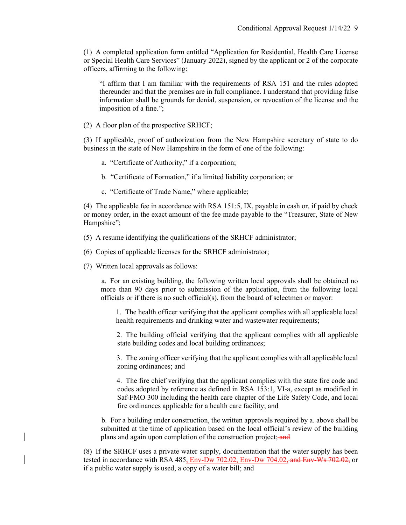(1) A completed application form entitled "Application for Residential, Health Care License or Special Health Care Services" (January 2022), signed by the applicant or 2 of the corporate officers, affirming to the following:

"I affirm that I am familiar with the requirements of RSA 151 and the rules adopted thereunder and that the premises are in full compliance. I understand that providing false information shall be grounds for denial, suspension, or revocation of the license and the imposition of a fine.";

(2) A floor plan of the prospective SRHCF;

(3) If applicable, proof of authorization from the New Hampshire secretary of state to do business in the state of New Hampshire in the form of one of the following:

- a. "Certificate of Authority," if a corporation;
- b. "Certificate of Formation," if a limited liability corporation; or
- c. "Certificate of Trade Name," where applicable;

(4) The applicable fee in accordance with RSA 151:5, IX, payable in cash or, if paid by check or money order, in the exact amount of the fee made payable to the "Treasurer, State of New Hampshire";

- (5) A resume identifying the qualifications of the SRHCF administrator;
- (6) Copies of applicable licenses for the SRHCF administrator;
- (7) Written local approvals as follows:

a. For an existing building, the following written local approvals shall be obtained no more than 90 days prior to submission of the application, from the following local officials or if there is no such official(s), from the board of selectmen or mayor:

1. The health officer verifying that the applicant complies with all applicable local health requirements and drinking water and wastewater requirements;

2. The building official verifying that the applicant complies with all applicable state building codes and local building ordinances;

3. The zoning officer verifying that the applicant complies with all applicable local zoning ordinances; and

4. The fire chief verifying that the applicant complies with the state fire code and codes adopted by reference as defined in RSA 153:1, VI-a, except as modified in Saf-FMO 300 including the health care chapter of the Life Safety Code, and local fire ordinances applicable for a health care facility; and

b. For a building under construction, the written approvals required by a. above shall be submitted at the time of application based on the local official's review of the building plans and again upon completion of the construction project; and

(8) If the SRHCF uses a private water supply, documentation that the water supply has been tested in accordance with RSA 485, Env-Dw 702.02, Env-Dw 704.02, and Env-Ws 702.02, or if a public water supply is used, a copy of a water bill; and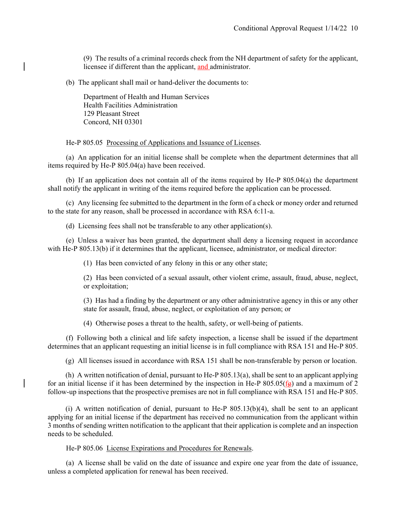(9) The results of a criminal records check from the NH department of safety for the applicant, licensee if different than the applicant, and administrator.

(b) The applicant shall mail or hand-deliver the documents to:

Department of Health and Human Services Health Facilities Administration 129 Pleasant Street Concord, NH 03301

## He-P 805.05 Processing of Applications and Issuance of Licenses.

 (a) An application for an initial license shall be complete when the department determines that all items required by He-P 805.04(a) have been received.

 (b) If an application does not contain all of the items required by He-P 805.04(a) the department shall notify the applicant in writing of the items required before the application can be processed.

 (c) Any licensing fee submitted to the department in the form of a check or money order and returned to the state for any reason, shall be processed in accordance with RSA 6:11-a.

(d) Licensing fees shall not be transferable to any other application(s).

 (e) Unless a waiver has been granted, the department shall deny a licensing request in accordance with He-P 805.13(b) if it determines that the applicant, licensee, administrator, or medical director:

(1) Has been convicted of any felony in this or any other state;

(2) Has been convicted of a sexual assault, other violent crime, assault, fraud, abuse, neglect, or exploitation;

(3) Has had a finding by the department or any other administrative agency in this or any other state for assault, fraud, abuse, neglect, or exploitation of any person; or

(4) Otherwise poses a threat to the health, safety, or well-being of patients.

 (f) Following both a clinical and life safety inspection, a license shall be issued if the department determines that an applicant requesting an initial license is in full compliance with RSA 151 and He-P 805.

(g) All licenses issued in accordance with RSA 151 shall be non-transferable by person or location.

 (h) A written notification of denial, pursuant to He-P 805.13(a), shall be sent to an applicant applying for an initial license if it has been determined by the inspection in He-P 805.05( $f_{\text{E}}$ ) and a maximum of 2 follow-up inspections that the prospective premises are not in full compliance with RSA 151 and He-P 805.

(i) A written notification of denial, pursuant to He-P  $805.13(b)(4)$ , shall be sent to an applicant applying for an initial license if the department has received no communication from the applicant within 3 months of sending written notification to the applicant that their application is complete and an inspection needs to be scheduled.

He-P 805.06 License Expirations and Procedures for Renewals.

 (a) A license shall be valid on the date of issuance and expire one year from the date of issuance, unless a completed application for renewal has been received.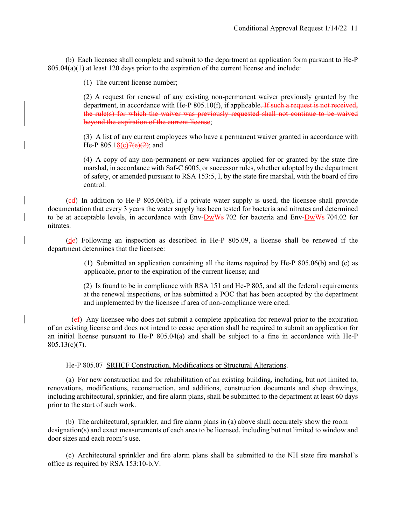(b) Each licensee shall complete and submit to the department an application form pursuant to He-P  $805.04(a)(1)$  at least 120 days prior to the expiration of the current license and include:

(1) The current license number;

(2) A request for renewal of any existing non-permanent waiver previously granted by the department, in accordance with He-P 805.10(f), if applicable. If such a request is not received, the rule(s) for which the waiver was previously requested shall not continue to be waived beyond the expiration of the current license;

(3) A list of any current employees who have a permanent waiver granted in accordance with He-P  $805.18(c)7(e)(2)$ ; and

(4) A copy of any non-permanent or new variances applied for or granted by the state fire marshal, in accordance with Saf-C 6005, or successor rules, whether adopted by the department of safety, or amended pursuant to RSA 153:5, I, by the state fire marshal, with the board of fire control.

 $(c_d)$  In addition to He-P 805.06(b), if a private water supply is used, the licensee shall provide documentation that every 3 years the water supply has been tested for bacteria and nitrates and determined to be at acceptable levels, in accordance with Env-DwWs-702 for bacteria and Env-DwWs 704.02 for nitrates.

 $(d_e)$  Following an inspection as described in He-P 805.09, a license shall be renewed if the department determines that the licensee:

> (1) Submitted an application containing all the items required by He-P 805.06(b) and (c) as applicable, prior to the expiration of the current license; and

> (2) Is found to be in compliance with RSA 151 and He-P 805, and all the federal requirements at the renewal inspections, or has submitted a POC that has been accepted by the department and implemented by the licensee if area of non-compliance were cited.

 (ef) Any licensee who does not submit a complete application for renewal prior to the expiration of an existing license and does not intend to cease operation shall be required to submit an application for an initial license pursuant to He-P 805.04(a) and shall be subject to a fine in accordance with He-P  $805.13(c)(7)$ .

He-P 805.07 SRHCF Construction, Modifications or Structural Alterations.

 (a) For new construction and for rehabilitation of an existing building, including, but not limited to, renovations, modifications, reconstruction, and additions, construction documents and shop drawings, including architectural, sprinkler, and fire alarm plans, shall be submitted to the department at least 60 days prior to the start of such work.

(b) The architectural, sprinkler, and fire alarm plans in (a) above shall accurately show the room designation(s) and exact measurements of each area to be licensed, including but not limited to window and door sizes and each room's use.

 (c) Architectural sprinkler and fire alarm plans shall be submitted to the NH state fire marshal's office as required by RSA 153:10-b,V.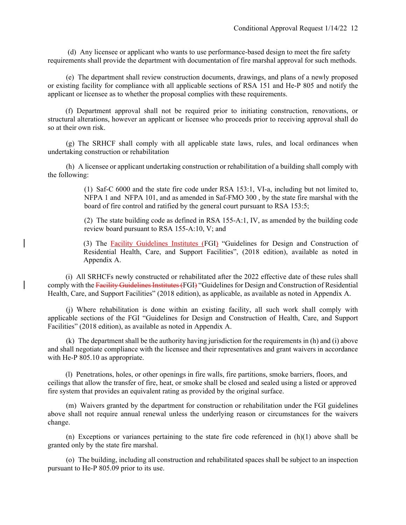(d) Any licensee or applicant who wants to use performance-based design to meet the fire safety requirements shall provide the department with documentation of fire marshal approval for such methods.

 (e) The department shall review construction documents, drawings, and plans of a newly proposed or existing facility for compliance with all applicable sections of RSA 151 and He-P 805 and notify the applicant or licensee as to whether the proposal complies with these requirements.

(f) Department approval shall not be required prior to initiating construction, renovations, or structural alterations, however an applicant or licensee who proceeds prior to receiving approval shall do so at their own risk.

 (g) The SRHCF shall comply with all applicable state laws, rules, and local ordinances when undertaking construction or rehabilitation

 (h) A licensee or applicant undertaking construction or rehabilitation of a building shall comply with the following:

> (1) Saf-C 6000 and the state fire code under RSA 153:1, VI-a, including but not limited to, NFPA 1 and NFPA 101, and as amended in Saf-FMO 300 , by the state fire marshal with the board of fire control and ratified by the general court pursuant to RSA 153:5;

> (2) The state building code as defined in RSA 155-A:1, IV, as amended by the building code review board pursuant to RSA 155-A:10, V; and

> (3) The Facility Guidelines Institutes (FGI) "Guidelines for Design and Construction of Residential Health, Care, and Support Facilities", (2018 edition), available as noted in Appendix A.

(i) All SRHCFs newly constructed or rehabilitated after the 2022 effective date of these rules shall comply with the Facility Guidelines Institutes (FGI) "Guidelines for Design and Construction of Residential Health, Care, and Support Facilities" (2018 edition), as applicable, as available as noted in Appendix A.

 (j) Where rehabilitation is done within an existing facility, all such work shall comply with applicable sections of the FGI "Guidelines for Design and Construction of Health, Care, and Support Facilities" (2018 edition), as available as noted in Appendix A.

 (k) The department shall be the authority having jurisdiction for the requirements in (h) and (i) above and shall negotiate compliance with the licensee and their representatives and grant waivers in accordance with He-P 805.10 as appropriate.

 (l) Penetrations, holes, or other openings in fire walls, fire partitions, smoke barriers, floors, and ceilings that allow the transfer of fire, heat, or smoke shall be closed and sealed using a listed or approved fire system that provides an equivalent rating as provided by the original surface.

 (m) Waivers granted by the department for construction or rehabilitation under the FGI guidelines above shall not require annual renewal unless the underlying reason or circumstances for the waivers change.

(n) Exceptions or variances pertaining to the state fire code referenced in  $(h)(1)$  above shall be granted only by the state fire marshal.

 (o) The building, including all construction and rehabilitated spaces shall be subject to an inspection pursuant to He-P 805.09 prior to its use.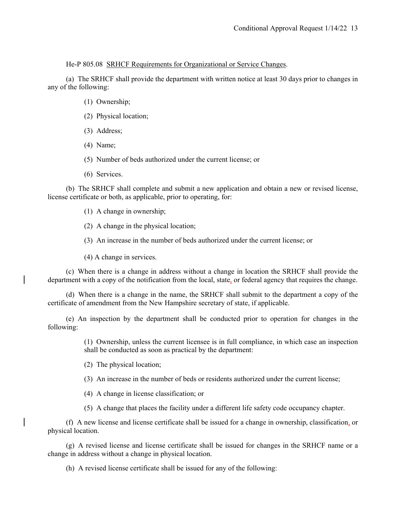He-P 805.08 SRHCF Requirements for Organizational or Service Changes.

 (a) The SRHCF shall provide the department with written notice at least 30 days prior to changes in any of the following:

- (1) Ownership;
- (2) Physical location;
- (3) Address;
- (4) Name;
- (5) Number of beds authorized under the current license; or
- (6) Services.

 (b) The SRHCF shall complete and submit a new application and obtain a new or revised license, license certificate or both, as applicable, prior to operating, for:

- (1) A change in ownership;
- (2) A change in the physical location;
- (3) An increase in the number of beds authorized under the current license; or
- (4) A change in services.

 (c) When there is a change in address without a change in location the SRHCF shall provide the department with a copy of the notification from the local, state, or federal agency that requires the change.

 (d) When there is a change in the name, the SRHCF shall submit to the department a copy of the certificate of amendment from the New Hampshire secretary of state, if applicable.

 (e) An inspection by the department shall be conducted prior to operation for changes in the following:

> (1) Ownership, unless the current licensee is in full compliance, in which case an inspection shall be conducted as soon as practical by the department:

- (2) The physical location;
- (3) An increase in the number of beds or residents authorized under the current license;
- (4) A change in license classification; or
- (5) A change that places the facility under a different life safety code occupancy chapter.

 (f) A new license and license certificate shall be issued for a change in ownership, classification, or physical location.

 (g) A revised license and license certificate shall be issued for changes in the SRHCF name or a change in address without a change in physical location.

(h) A revised license certificate shall be issued for any of the following: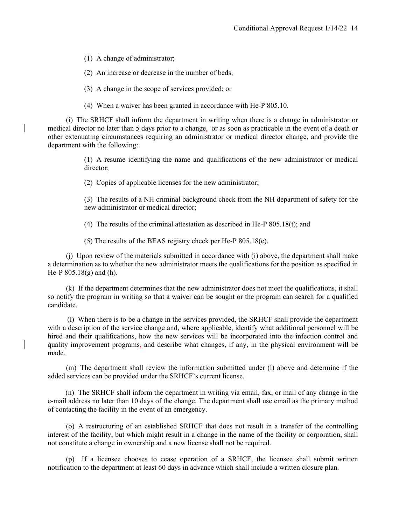(1) A change of administrator;

(2) An increase or decrease in the number of beds;

(3) A change in the scope of services provided; or

(4) When a waiver has been granted in accordance with He-P 805.10.

 (i) The SRHCF shall inform the department in writing when there is a change in administrator or medical director no later than 5 days prior to a change, or as soon as practicable in the event of a death or other extenuating circumstances requiring an administrator or medical director change, and provide the department with the following:

> (1) A resume identifying the name and qualifications of the new administrator or medical director;

(2) Copies of applicable licenses for the new administrator;

(3) The results of a NH criminal background check from the NH department of safety for the new administrator or medical director;

(4) The results of the criminal attestation as described in He-P 805.18(t); and

(5) The results of the BEAS registry check per He-P 805.18(e).

 (j) Upon review of the materials submitted in accordance with (i) above, the department shall make a determination as to whether the new administrator meets the qualifications for the position as specified in He-P 805.18(g) and (h).

 (k) If the department determines that the new administrator does not meet the qualifications, it shall so notify the program in writing so that a waiver can be sought or the program can search for a qualified candidate.

 (l) When there is to be a change in the services provided, the SRHCF shall provide the department with a description of the service change and, where applicable, identify what additional personnel will be hired and their qualifications, how the new services will be incorporated into the infection control and quality improvement programs, and describe what changes, if any, in the physical environment will be made.

 (m) The department shall review the information submitted under (l) above and determine if the added services can be provided under the SRHCF's current license.

 (n) The SRHCF shall inform the department in writing via email, fax, or mail of any change in the e-mail address no later than 10 days of the change. The department shall use email as the primary method of contacting the facility in the event of an emergency.

 (o) A restructuring of an established SRHCF that does not result in a transfer of the controlling interest of the facility, but which might result in a change in the name of the facility or corporation, shall not constitute a change in ownership and a new license shall not be required.

 (p) If a licensee chooses to cease operation of a SRHCF, the licensee shall submit written notification to the department at least 60 days in advance which shall include a written closure plan.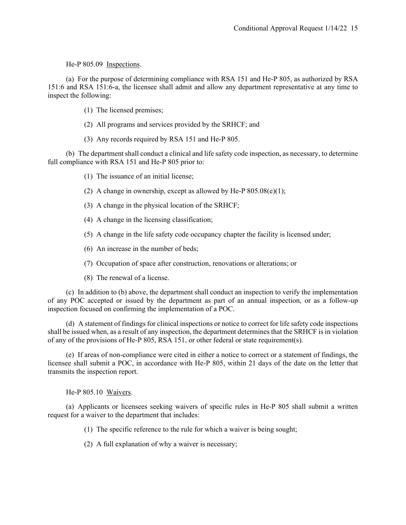He-P 805.09 Inspections.

 (a) For the purpose of determining compliance with RSA 151 and He-P 805, as authorized by RSA 151:6 and RSA 151:6-a, the licensee shall admit and allow any department representative at any time to inspect the following:

- (1) The licensed premises;
- (2) All programs and services provided by the SRHCF; and
- (3) Any records required by RSA 151 and He-P 805.

 (b) The department shall conduct a clinical and life safety code inspection, as necessary, to determine full compliance with RSA 151 and He-P 805 prior to:

- (1) The issuance of an initial license;
- (2) A change in ownership, except as allowed by He-P  $805.08(e)(1)$ ;
- (3) A change in the physical location of the SRHCF;
- (4) A change in the licensing classification;
- (5) A change in the life safety code occupancy chapter the facility is licensed under;
- (6) An increase in the number of beds;
- (7) Occupation of space after construction, renovations or alterations; or
- (8) The renewal of a license.

 (c) In addition to (b) above, the department shall conduct an inspection to verify the implementation of any POC accepted or issued by the department as part of an annual inspection, or as a follow-up inspection focused on confirming the implementation of a POC.

 (d) A statement of findings for clinical inspections or notice to correct for life safety code inspections shall be issued when, as a result of any inspection, the department determines that the SRHCF is in violation of any of the provisions of He-P 805, RSA 151, or other federal or state requirement(s).

 (e) If areas of non-compliance were cited in either a notice to correct or a statement of findings, the licensee shall submit a POC, in accordance with He-P 805, within 21 days of the date on the letter that transmits the inspection report.

He-P 805.10 Waivers.

 (a) Applicants or licensees seeking waivers of specific rules in He-P 805 shall submit a written request for a waiver to the department that includes:

(1) The specific reference to the rule for which a waiver is being sought;

(2) A full explanation of why a waiver is necessary;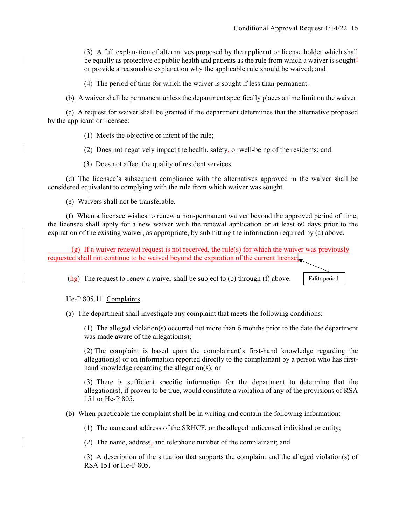(3) A full explanation of alternatives proposed by the applicant or license holder which shall be equally as protective of public health and patients as the rule from which a waiver is soughtor provide a reasonable explanation why the applicable rule should be waived; and

(4) The period of time for which the waiver is sought if less than permanent.

(b) A waiver shall be permanent unless the department specifically places a time limit on the waiver.

 (c) A request for waiver shall be granted if the department determines that the alternative proposed by the applicant or licensee:

(1) Meets the objective or intent of the rule;

(2) Does not negatively impact the health, safety, or well-being of the residents; and

(3) Does not affect the quality of resident services.

 (d) The licensee's subsequent compliance with the alternatives approved in the waiver shall be considered equivalent to complying with the rule from which waiver was sought.

(e) Waivers shall not be transferable.

 (f) When a licensee wishes to renew a non-permanent waiver beyond the approved period of time, the licensee shall apply for a new waiver with the renewal application or at least 60 days prior to the expiration of the existing waiver, as appropriate, by submitting the information required by (a) above.

 (g) If a waiver renewal request is not received, the rule(s) for which the waiver was previously requested shall not continue to be waived beyond the expiration of the current license;

 $(h_{\mathcal{B}})$  The request to renew a waiver shall be subject to (b) through (f) above.

**Edit:** period

He-P 805.11 Complaints.

(a) The department shall investigate any complaint that meets the following conditions:

(1) The alleged violation(s) occurred not more than 6 months prior to the date the department was made aware of the allegation(s);

(2) The complaint is based upon the complainant's first-hand knowledge regarding the allegation(s) or on information reported directly to the complainant by a person who has firsthand knowledge regarding the allegation(s); or

(3) There is sufficient specific information for the department to determine that the allegation(s), if proven to be true, would constitute a violation of any of the provisions of RSA 151 or He-P 805.

(b) When practicable the complaint shall be in writing and contain the following information:

(1) The name and address of the SRHCF, or the alleged unlicensed individual or entity;

(2) The name, address, and telephone number of the complainant; and

(3) A description of the situation that supports the complaint and the alleged violation(s) of RSA 151 or He-P 805.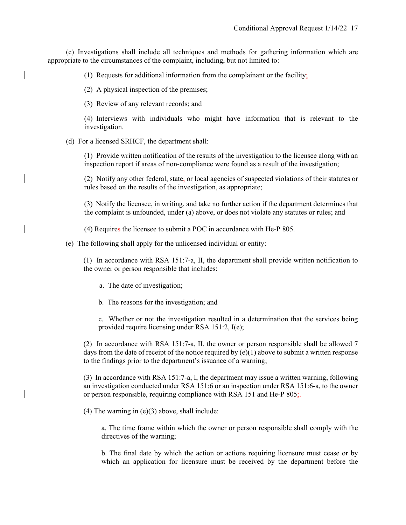(c) Investigations shall include all techniques and methods for gathering information which are appropriate to the circumstances of the complaint, including, but not limited to:

(1) Requests for additional information from the complainant or the facility;

(2) A physical inspection of the premises;

(3) Review of any relevant records; and

(4) Interviews with individuals who might have information that is relevant to the investigation.

(d) For a licensed SRHCF, the department shall:

(1) Provide written notification of the results of the investigation to the licensee along with an inspection report if areas of non-compliance were found as a result of the investigation;

(2) Notify any other federal, state, or local agencies of suspected violations of their statutes or rules based on the results of the investigation, as appropriate;

(3) Notify the licensee, in writing, and take no further action if the department determines that the complaint is unfounded, under (a) above, or does not violate any statutes or rules; and

(4) Requires the licensee to submit a POC in accordance with He-P 805.

(e) The following shall apply for the unlicensed individual or entity:

(1) In accordance with RSA 151:7-a, II, the department shall provide written notification to the owner or person responsible that includes:

a. The date of investigation;

b. The reasons for the investigation; and

c. Whether or not the investigation resulted in a determination that the services being provided require licensing under RSA 151:2, I(e);

(2) In accordance with RSA 151:7-a, II, the owner or person responsible shall be allowed 7 days from the date of receipt of the notice required by  $(e)(1)$  above to submit a written response to the findings prior to the department's issuance of a warning;

(3) In accordance with RSA 151:7-a, I, the department may issue a written warning, following an investigation conducted under RSA 151:6 or an inspection under RSA 151:6-a, to the owner or person responsible, requiring compliance with RSA 151 and He-P 805;

(4) The warning in (e)(3) above, shall include:

a. The time frame within which the owner or person responsible shall comply with the directives of the warning;

b. The final date by which the action or actions requiring licensure must cease or by which an application for licensure must be received by the department before the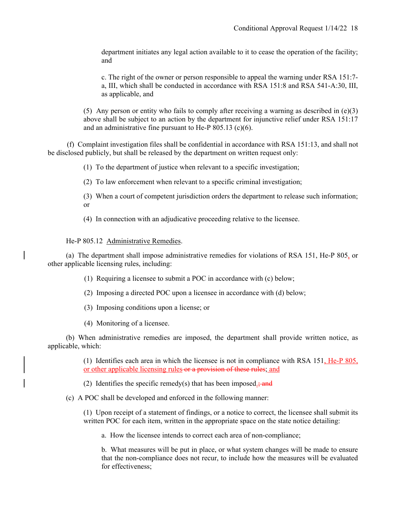department initiates any legal action available to it to cease the operation of the facility; and

c. The right of the owner or person responsible to appeal the warning under RSA 151:7 a, III, which shall be conducted in accordance with RSA 151:8 and RSA 541-A:30, III, as applicable, and

(5) Any person or entity who fails to comply after receiving a warning as described in  $(e)(3)$ above shall be subject to an action by the department for injunctive relief under RSA 151:17 and an administrative fine pursuant to He-P  $805.13$  (c)(6).

(f) Complaint investigation files shall be confidential in accordance with RSA 151:13, and shall not be disclosed publicly, but shall be released by the department on written request only:

(1) To the department of justice when relevant to a specific investigation;

(2) To law enforcement when relevant to a specific criminal investigation;

(3) When a court of competent jurisdiction orders the department to release such information; or

(4) In connection with an adjudicative proceeding relative to the licensee.

## He-P 805.12 Administrative Remedies.

 (a) The department shall impose administrative remedies for violations of RSA 151, He-P 805, or other applicable licensing rules, including:

(1) Requiring a licensee to submit a POC in accordance with (c) below;

- (2) Imposing a directed POC upon a licensee in accordance with (d) below;
- (3) Imposing conditions upon a license; or
- (4) Monitoring of a licensee.

 (b) When administrative remedies are imposed, the department shall provide written notice, as applicable, which:

> (1) Identifies each area in which the licensee is not in compliance with RSA 151, He-P 805, or other applicable licensing rules or a provision of these rules; and

(2) Identifies the specific remedy(s) that has been imposed.; and

(c) A POC shall be developed and enforced in the following manner:

(1) Upon receipt of a statement of findings, or a notice to correct, the licensee shall submit its written POC for each item, written in the appropriate space on the state notice detailing:

a. How the licensee intends to correct each area of non-compliance;

b. What measures will be put in place, or what system changes will be made to ensure that the non-compliance does not recur, to include how the measures will be evaluated for effectiveness;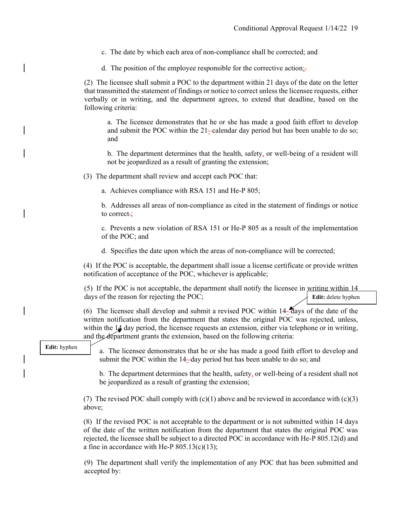- c. The date by which each area of non-compliance shall be corrected; and
- d. The position of the employee responsible for the corrective action<sub>i</sub>.

(2) The licensee shall submit a POC to the department within 21 days of the date on the letter that transmitted the statement of findings or notice to correct unless the licensee requests, either verbally or in writing, and the department agrees, to extend that deadline, based on the following criteria:

a. The licensee demonstrates that he or she has made a good faith effort to develop and submit the POC within the 21-calendar day period but has been unable to do so; and

b. The department determines that the health, safety, or well-being of a resident will not be jeopardized as a result of granting the extension;

(3) The department shall review and accept each POC that:

a. Achieves compliance with RSA 151 and He-P 805;

b. Addresses all areas of non-compliance as cited in the statement of findings or notice to correct.:

c. Prevents a new violation of RSA 151 or He-P 805 as a result of the implementation of the POC; and

d. Specifies the date upon which the areas of non-compliance will be corrected;

(4) If the POC is acceptable, the department shall issue a license certificate or provide written notification of acceptance of the POC, whichever is applicable;

(5) If the POC is not acceptable, the department shall notify the licensee in writing within 14 days of the reason for rejecting the POC; **Edit:** delete hyphen

(6) The licensee shall develop and submit a revised POC within 14- days of the date of the written notification from the department that states the original POC was rejected, unless, within the 14 day period, the licensee requests an extension, either via telephone or in writing, and the department grants the extension, based on the following criteria:

#### **Edit:** hyphen

a. The licensee demonstrates that he or she has made a good faith effort to develop and submit the POC within the 14--day period but has been unable to do so; and

b. The department determines that the health, safety, or well-being of a resident shall not be jeopardized as a result of granting the extension;

(7) The revised POC shall comply with  $(c)(1)$  above and be reviewed in accordance with  $(c)(3)$ above;

(8) If the revised POC is not acceptable to the department or is not submitted within 14 days of the date of the written notification from the department that states the original POC was rejected, the licensee shall be subject to a directed POC in accordance with He-P 805.12(d) and a fine in accordance with He-P  $805.13(c)(13)$ ;

(9) The department shall verify the implementation of any POC that has been submitted and accepted by: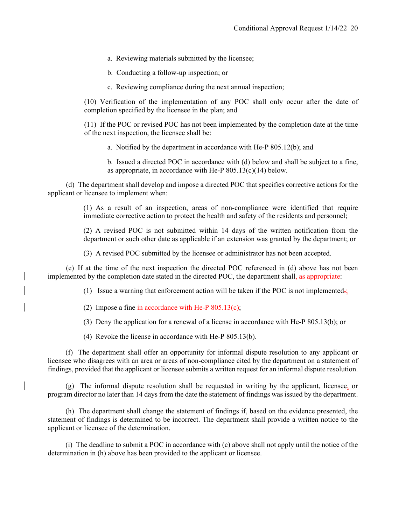a. Reviewing materials submitted by the licensee;

b. Conducting a follow-up inspection; or

c. Reviewing compliance during the next annual inspection;

(10) Verification of the implementation of any POC shall only occur after the date of completion specified by the licensee in the plan; and

(11) If the POC or revised POC has not been implemented by the completion date at the time of the next inspection, the licensee shall be:

a. Notified by the department in accordance with He-P 805.12(b); and

b. Issued a directed POC in accordance with (d) below and shall be subject to a fine, as appropriate, in accordance with He-P 805.13(c)(14) below.

 (d) The department shall develop and impose a directed POC that specifies corrective actions for the applicant or licensee to implement when:

> (1) As a result of an inspection, areas of non-compliance were identified that require immediate corrective action to protect the health and safety of the residents and personnel;

> (2) A revised POC is not submitted within 14 days of the written notification from the department or such other date as applicable if an extension was granted by the department; or

(3) A revised POC submitted by the licensee or administrator has not been accepted.

 (e) If at the time of the next inspection the directed POC referenced in (d) above has not been implemented by the completion date stated in the directed POC, the department shall, as appropriate:

(1) Issue a warning that enforcement action will be taken if the POC is not implemented.

(2) Impose a fine in accordance with He-P 805.13(c);

(3) Deny the application for a renewal of a license in accordance with He-P 805.13(b); or

(4) Revoke the license in accordance with He-P 805.13(b).

 (f) The department shall offer an opportunity for informal dispute resolution to any applicant or licensee who disagrees with an area or areas of non-compliance cited by the department on a statement of findings, provided that the applicant or licensee submits a written request for an informal dispute resolution.

 (g) The informal dispute resolution shall be requested in writing by the applicant, licensee, or program director no later than 14 days from the date the statement of findings was issued by the department.

 (h) The department shall change the statement of findings if, based on the evidence presented, the statement of findings is determined to be incorrect. The department shall provide a written notice to the applicant or licensee of the determination.

 (i) The deadline to submit a POC in accordance with (c) above shall not apply until the notice of the determination in (h) above has been provided to the applicant or licensee.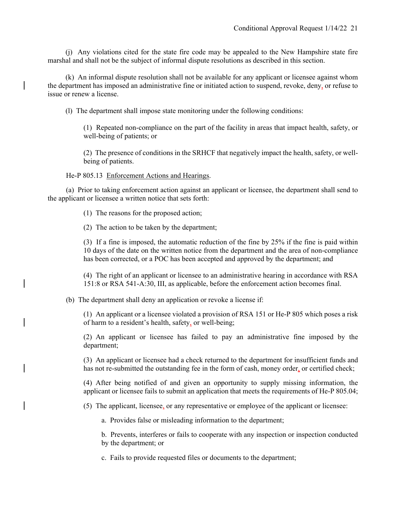(j) Any violations cited for the state fire code may be appealed to the New Hampshire state fire marshal and shall not be the subject of informal dispute resolutions as described in this section.

 (k) An informal dispute resolution shall not be available for any applicant or licensee against whom the department has imposed an administrative fine or initiated action to suspend, revoke, deny, or refuse to issue or renew a license.

(l) The department shall impose state monitoring under the following conditions:

(1) Repeated non-compliance on the part of the facility in areas that impact health, safety, or well-being of patients; or

(2) The presence of conditions in the SRHCF that negatively impact the health, safety, or wellbeing of patients.

He-P 805.13 Enforcement Actions and Hearings.

 (a) Prior to taking enforcement action against an applicant or licensee, the department shall send to the applicant or licensee a written notice that sets forth:

(1) The reasons for the proposed action;

(2) The action to be taken by the department;

(3) If a fine is imposed, the automatic reduction of the fine by 25% if the fine is paid within 10 days of the date on the written notice from the department and the area of non-compliance has been corrected, or a POC has been accepted and approved by the department; and

(4) The right of an applicant or licensee to an administrative hearing in accordance with RSA 151:8 or RSA 541-A:30, III, as applicable, before the enforcement action becomes final.

(b) The department shall deny an application or revoke a license if:

(1) An applicant or a licensee violated a provision of RSA 151 or He-P 805 which poses a risk of harm to a resident's health, safety, or well-being;

(2) An applicant or licensee has failed to pay an administrative fine imposed by the department;

(3) An applicant or licensee had a check returned to the department for insufficient funds and has not re-submitted the outstanding fee in the form of cash, money order, or certified check;

(4) After being notified of and given an opportunity to supply missing information, the applicant or licensee fails to submit an application that meets the requirements of He-P 805.04;

(5) The applicant, licensee, or any representative or employee of the applicant or licensee:

a. Provides false or misleading information to the department;

b. Prevents, interferes or fails to cooperate with any inspection or inspection conducted by the department; or

c. Fails to provide requested files or documents to the department;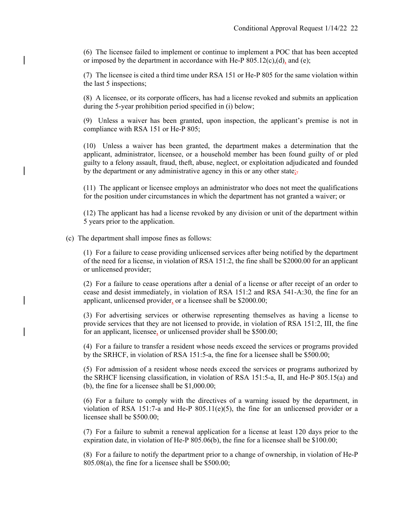(6) The licensee failed to implement or continue to implement a POC that has been accepted or imposed by the department in accordance with He-P  $805.12(c)$ , (d), and (e);

(7) The licensee is cited a third time under RSA 151 or He-P 805 for the same violation within the last 5 inspections;

(8) A licensee, or its corporate officers, has had a license revoked and submits an application during the 5-year prohibition period specified in (i) below;

(9) Unless a waiver has been granted, upon inspection, the applicant's premise is not in compliance with RSA 151 or He-P 805;

(10) Unless a waiver has been granted, the department makes a determination that the applicant, administrator, licensee, or a household member has been found guilty of or pled guilty to a felony assault, fraud, theft, abuse, neglect, or exploitation adjudicated and founded by the department or any administrative agency in this or any other state;-

(11) The applicant or licensee employs an administrator who does not meet the qualifications for the position under circumstances in which the department has not granted a waiver; or

(12) The applicant has had a license revoked by any division or unit of the department within 5 years prior to the application.

(c) The department shall impose fines as follows:

(1) For a failure to cease providing unlicensed services after being notified by the department of the need for a license, in violation of RSA 151:2, the fine shall be \$2000.00 for an applicant or unlicensed provider;

(2) For a failure to cease operations after a denial of a license or after receipt of an order to cease and desist immediately, in violation of RSA 151:2 and RSA 541-A:30, the fine for an applicant, unlicensed provider, or a licensee shall be \$2000.00;

(3) For advertising services or otherwise representing themselves as having a license to provide services that they are not licensed to provide, in violation of RSA 151:2, III, the fine for an applicant, licensee, or unlicensed provider shall be \$500.00;

(4) For a failure to transfer a resident whose needs exceed the services or programs provided by the SRHCF, in violation of RSA 151:5-a, the fine for a licensee shall be \$500.00;

(5) For admission of a resident whose needs exceed the services or programs authorized by the SRHCF licensing classification, in violation of RSA 151:5-a, II, and He-P 805.15(a) and (b), the fine for a licensee shall be \$1,000.00;

(6) For a failure to comply with the directives of a warning issued by the department, in violation of RSA 151:7-a and He-P 805.11(e)(5), the fine for an unlicensed provider or a licensee shall be \$500.00;

(7) For a failure to submit a renewal application for a license at least 120 days prior to the expiration date, in violation of He-P 805.06(b), the fine for a licensee shall be \$100.00;

(8) For a failure to notify the department prior to a change of ownership, in violation of He-P 805.08(a), the fine for a licensee shall be \$500.00;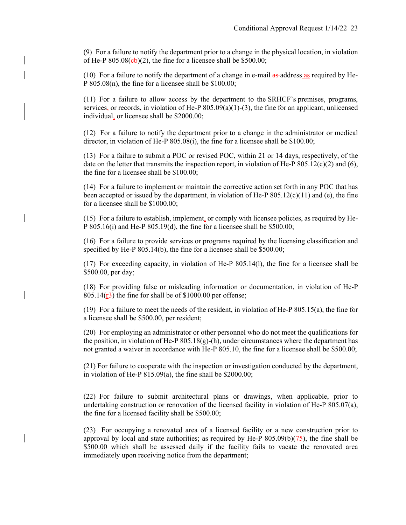(9) For a failure to notify the department prior to a change in the physical location, in violation of He-P  $805.08$ ( $eb$ )(2), the fine for a licensee shall be \$500.00;

(10) For a failure to notify the department of a change in e-mail  $\frac{a}{x}$  address as required by He-P 805.08(n), the fine for a licensee shall be \$100.00;

(11) For a failure to allow access by the department to the SRHCF's premises, programs, services, or records, in violation of He-P 805.09(a)(1)-(3), the fine for an applicant, unlicensed individual, or licensee shall be \$2000.00;

(12) For a failure to notify the department prior to a change in the administrator or medical director, in violation of He-P 805.08(i), the fine for a licensee shall be \$100.00;

(13) For a failure to submit a POC or revised POC, within 21 or 14 days, respectively, of the date on the letter that transmits the inspection report, in violation of He-P  $805.12(c)(2)$  and (6), the fine for a licensee shall be \$100.00;

(14) For a failure to implement or maintain the corrective action set forth in any POC that has been accepted or issued by the department, in violation of He-P  $805.12(c)(11)$  and (e), the fine for a licensee shall be \$1000.00;

(15) For a failure to establish, implement, or comply with licensee policies, as required by He-P 805.16(i) and He-P 805.19(d), the fine for a licensee shall be \$500.00;

(16) For a failure to provide services or programs required by the licensing classification and specified by He-P 805.14(b), the fine for a licensee shall be \$500.00;

(17) For exceeding capacity, in violation of He-P 805.14(l), the fine for a licensee shall be \$500.00, per day;

(18) For providing false or misleading information or documentation, in violation of He-P 805.14 $(\frac{r3}{r^3})$  the fine for shall be of \$1000.00 per offense;

(19) For a failure to meet the needs of the resident, in violation of He-P 805.15(a), the fine for a licensee shall be \$500.00, per resident;

(20) For employing an administrator or other personnel who do not meet the qualifications for the position, in violation of He-P  $805.18(g)$ -(h), under circumstances where the department has not granted a waiver in accordance with He-P 805.10, the fine for a licensee shall be \$500.00;

(21) For failure to cooperate with the inspection or investigation conducted by the department, in violation of He-P 815.09(a), the fine shall be \$2000.00;

(22) For failure to submit architectural plans or drawings, when applicable, prior to undertaking construction or renovation of the licensed facility in violation of He-P 805.07(a), the fine for a licensed facility shall be \$500.00;

(23) For occupying a renovated area of a licensed facility or a new construction prior to approval by local and state authorities; as required by He-P  $805.09(b)(75)$ , the fine shall be \$500.00 which shall be assessed daily if the facility fails to vacate the renovated area immediately upon receiving notice from the department;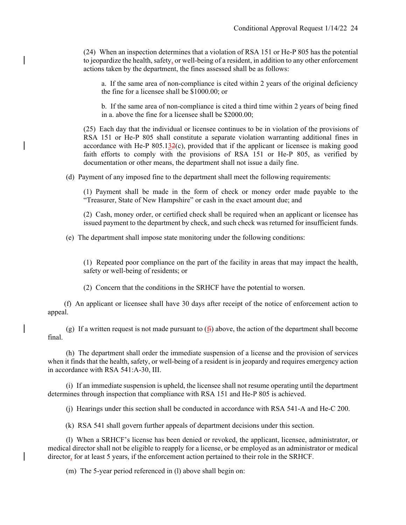(24) When an inspection determines that a violation of RSA 151 or He-P 805 has the potential to jeopardize the health, safety, or well-being of a resident, in addition to any other enforcement actions taken by the department, the fines assessed shall be as follows:

a. If the same area of non-compliance is cited within 2 years of the original deficiency the fine for a licensee shall be \$1000.00; or

b. If the same area of non-compliance is cited a third time within 2 years of being fined in a. above the fine for a licensee shall be \$2000.00;

(25) Each day that the individual or licensee continues to be in violation of the provisions of RSA 151 or He-P 805 shall constitute a separate violation warranting additional fines in accordance with He-P  $805.132(c)$ , provided that if the applicant or licensee is making good faith efforts to comply with the provisions of RSA 151 or He-P 805, as verified by documentation or other means, the department shall not issue a daily fine.

(d) Payment of any imposed fine to the department shall meet the following requirements:

(1) Payment shall be made in the form of check or money order made payable to the "Treasurer, State of New Hampshire" or cash in the exact amount due; and

(2) Cash, money order, or certified check shall be required when an applicant or licensee has issued payment to the department by check, and such check was returned for insufficient funds.

(e) The department shall impose state monitoring under the following conditions:

(1) Repeated poor compliance on the part of the facility in areas that may impact the health, safety or well-being of residents; or

(2) Concern that the conditions in the SRHCF have the potential to worsen.

 (f) An applicant or licensee shall have 30 days after receipt of the notice of enforcement action to appeal.

(g) If a written request is not made pursuant to  $(f<sub>H</sub>)$  above, the action of the department shall become final.

 (h) The department shall order the immediate suspension of a license and the provision of services when it finds that the health, safety, or well-being of a resident is in jeopardy and requires emergency action in accordance with RSA 541:A-30, III.

 (i) If an immediate suspension is upheld, the licensee shall not resume operating until the department determines through inspection that compliance with RSA 151 and He-P 805 is achieved.

(j) Hearings under this section shall be conducted in accordance with RSA 541-A and He-C 200.

(k) RSA 541 shall govern further appeals of department decisions under this section.

 (l) When a SRHCF's license has been denied or revoked, the applicant, licensee, administrator, or medical director shall not be eligible to reapply for a license, or be employed as an administrator or medical director, for at least 5 years, if the enforcement action pertained to their role in the SRHCF.

(m) The 5-year period referenced in (1) above shall begin on: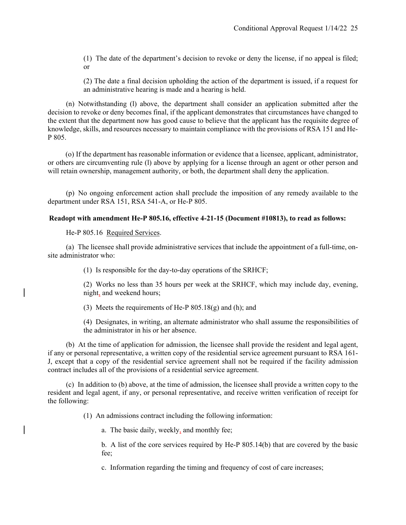(1) The date of the department's decision to revoke or deny the license, if no appeal is filed; or

(2) The date a final decision upholding the action of the department is issued, if a request for an administrative hearing is made and a hearing is held.

 (n) Notwithstanding (l) above, the department shall consider an application submitted after the decision to revoke or deny becomes final, if the applicant demonstrates that circumstances have changed to the extent that the department now has good cause to believe that the applicant has the requisite degree of knowledge, skills, and resources necessary to maintain compliance with the provisions of RSA 151 and He-P 805.

(o) If the department has reasonable information or evidence that a licensee, applicant, administrator, or others are circumventing rule (l) above by applying for a license through an agent or other person and will retain ownership, management authority, or both, the department shall deny the application.

 (p) No ongoing enforcement action shall preclude the imposition of any remedy available to the department under RSA 151, RSA 541-A, or He-P 805.

# **Readopt with amendment He-P 805.16, effective 4-21-15 (Document #10813), to read as follows:**

He-P 805.16 Required Services.

 (a) The licensee shall provide administrative services that include the appointment of a full-time, onsite administrator who:

(1) Is responsible for the day-to-day operations of the SRHCF;

(2) Works no less than 35 hours per week at the SRHCF, which may include day, evening, night, and weekend hours;

(3) Meets the requirements of He-P  $805.18(g)$  and (h); and

(4) Designates, in writing, an alternate administrator who shall assume the responsibilities of the administrator in his or her absence.

 (b) At the time of application for admission, the licensee shall provide the resident and legal agent, if any or personal representative, a written copy of the residential service agreement pursuant to RSA 161- J, except that a copy of the residential service agreement shall not be required if the facility admission contract includes all of the provisions of a residential service agreement.

 (c) In addition to (b) above, at the time of admission, the licensee shall provide a written copy to the resident and legal agent, if any, or personal representative, and receive written verification of receipt for the following:

(1) An admissions contract including the following information:

a. The basic daily, weekly, and monthly fee;

b. A list of the core services required by He-P 805.14(b) that are covered by the basic fee;

c. Information regarding the timing and frequency of cost of care increases;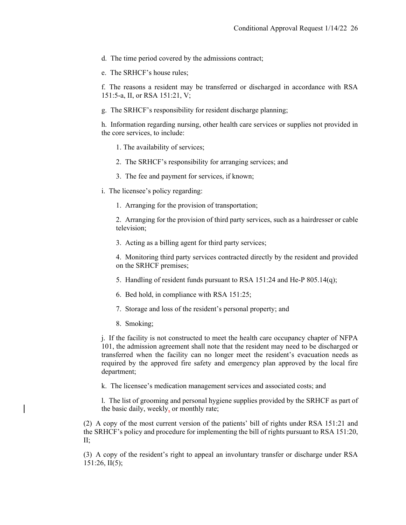d. The time period covered by the admissions contract;

e. The SRHCF's house rules;

f. The reasons a resident may be transferred or discharged in accordance with RSA 151:5-a, II, or RSA 151:21, V;

g. The SRHCF's responsibility for resident discharge planning;

h. Information regarding nursing, other health care services or supplies not provided in the core services, to include:

- 1. The availability of services;
- 2. The SRHCF's responsibility for arranging services; and
- 3. The fee and payment for services, if known;
- i. The licensee's policy regarding:

1. Arranging for the provision of transportation;

2. Arranging for the provision of third party services, such as a hairdresser or cable television;

3. Acting as a billing agent for third party services;

4. Monitoring third party services contracted directly by the resident and provided on the SRHCF premises;

5. Handling of resident funds pursuant to RSA 151:24 and He-P 805.14(q);

6. Bed hold, in compliance with RSA 151:25;

- 7. Storage and loss of the resident's personal property; and
- 8. Smoking;

j. If the facility is not constructed to meet the health care occupancy chapter of NFPA 101, the admission agreement shall note that the resident may need to be discharged or transferred when the facility can no longer meet the resident's evacuation needs as required by the approved fire safety and emergency plan approved by the local fire department;

k. The licensee's medication management services and associated costs; and

l. The list of grooming and personal hygiene supplies provided by the SRHCF as part of the basic daily, weekly, or monthly rate;

(2) A copy of the most current version of the patients' bill of rights under RSA 151:21 and the SRHCF's policy and procedure for implementing the bill of rights pursuant to RSA 151:20, II;

(3) A copy of the resident's right to appeal an involuntary transfer or discharge under RSA 151:26, II(5);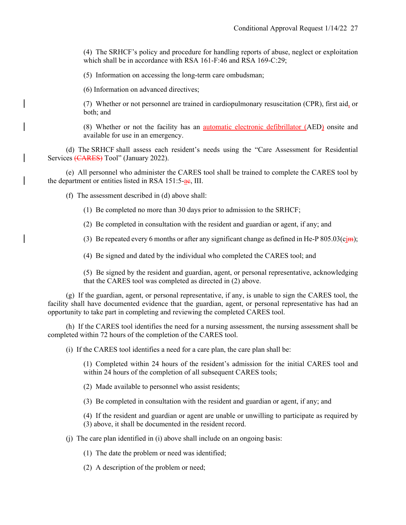(4) The SRHCF's policy and procedure for handling reports of abuse, neglect or exploitation which shall be in accordance with RSA 161-F:46 and RSA 169-C:29;

(5) Information on accessing the long-term care ombudsman;

(6) Information on advanced directives;

(7) Whether or not personnel are trained in cardiopulmonary resuscitation (CPR), first aid, or both; and

(8) Whether or not the facility has an automatic electronic defibrillator (AED) onsite and available for use in an emergency.

 (d) The SRHCF shall assess each resident's needs using the "Care Assessment for Residential Services (CARES) Tool" (January 2022).

 (e) All personnel who administer the CARES tool shall be trained to complete the CARES tool by the department or entities listed in RSA  $151:5$ -ae, III.

(f) The assessment described in (d) above shall:

(1) Be completed no more than 30 days prior to admission to the SRHCF;

(2) Be completed in consultation with the resident and guardian or agent, if any; and

(3) Be repeated every 6 months or after any significant change as defined in He-P  $805.03(c<sub>ij</sub>)$ ;

(4) Be signed and dated by the individual who completed the CARES tool; and

(5) Be signed by the resident and guardian, agent, or personal representative, acknowledging that the CARES tool was completed as directed in (2) above.

 (g) If the guardian, agent, or personal representative, if any, is unable to sign the CARES tool, the facility shall have documented evidence that the guardian, agent, or personal representative has had an opportunity to take part in completing and reviewing the completed CARES tool.

 (h) If the CARES tool identifies the need for a nursing assessment, the nursing assessment shall be completed within 72 hours of the completion of the CARES tool.

(i) If the CARES tool identifies a need for a care plan, the care plan shall be:

(1) Completed within 24 hours of the resident's admission for the initial CARES tool and within 24 hours of the completion of all subsequent CARES tools;

(2) Made available to personnel who assist residents;

(3) Be completed in consultation with the resident and guardian or agent, if any; and

(4) If the resident and guardian or agent are unable or unwilling to participate as required by (3) above, it shall be documented in the resident record.

(j) The care plan identified in (i) above shall include on an ongoing basis:

(1) The date the problem or need was identified;

(2) A description of the problem or need;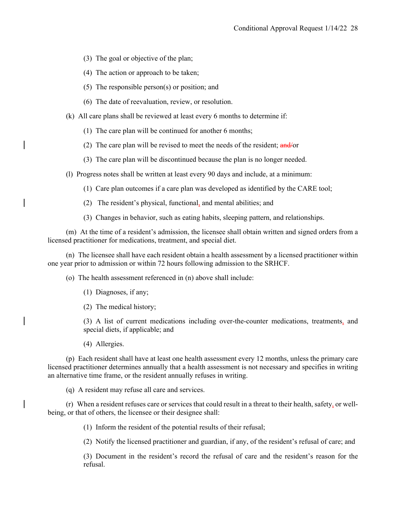- (3) The goal or objective of the plan;
- (4) The action or approach to be taken;
- (5) The responsible person(s) or position; and
- (6) The date of reevaluation, review, or resolution.
- (k) All care plans shall be reviewed at least every 6 months to determine if:
	- (1) The care plan will be continued for another 6 months;
	- (2) The care plan will be revised to meet the needs of the resident;  $\frac{and}{or}$
	- (3) The care plan will be discontinued because the plan is no longer needed.
- (l) Progress notes shall be written at least every 90 days and include, at a minimum:
	- (1) Care plan outcomes if a care plan was developed as identified by the CARE tool;
	- (2) The resident's physical, functional, and mental abilities; and
	- (3) Changes in behavior, such as eating habits, sleeping pattern, and relationships.

 (m) At the time of a resident's admission, the licensee shall obtain written and signed orders from a licensed practitioner for medications, treatment, and special diet.

 (n) The licensee shall have each resident obtain a health assessment by a licensed practitioner within one year prior to admission or within 72 hours following admission to the SRHCF.

(o) The health assessment referenced in (n) above shall include:

- (1) Diagnoses, if any;
- (2) The medical history;

(3) A list of current medications including over-the-counter medications, treatments, and special diets, if applicable; and

(4) Allergies.

 (p) Each resident shall have at least one health assessment every 12 months, unless the primary care licensed practitioner determines annually that a health assessment is not necessary and specifies in writing an alternative time frame, or the resident annually refuses in writing.

(q) A resident may refuse all care and services.

 (r) When a resident refuses care or services that could result in a threat to their health, safety, or wellbeing, or that of others, the licensee or their designee shall:

(1) Inform the resident of the potential results of their refusal;

(2) Notify the licensed practitioner and guardian, if any, of the resident's refusal of care; and

(3) Document in the resident's record the refusal of care and the resident's reason for the refusal.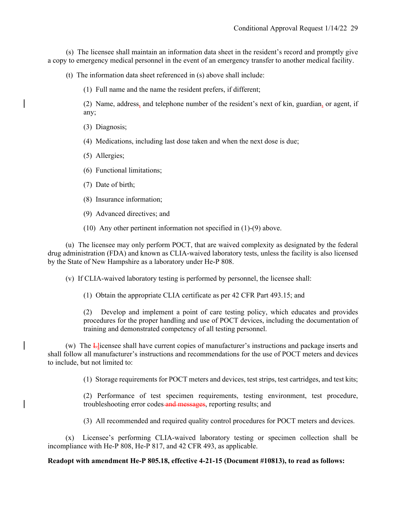(s) The licensee shall maintain an information data sheet in the resident's record and promptly give a copy to emergency medical personnel in the event of an emergency transfer to another medical facility.

(t) The information data sheet referenced in (s) above shall include:

(1) Full name and the name the resident prefers, if different;

(2) Name, address, and telephone number of the resident's next of kin, guardian, or agent, if any;

- (3) Diagnosis;
- (4) Medications, including last dose taken and when the next dose is due;
- (5) Allergies;
- (6) Functional limitations;
- (7) Date of birth;
- (8) Insurance information;
- (9) Advanced directives; and
- (10) Any other pertinent information not specified in (1)-(9) above.

(u) The licensee may only perform POCT, that are waived complexity as designated by the federal drug administration (FDA) and known as CLIA-waived laboratory tests, unless the facility is also licensed by the State of New Hampshire as a laboratory under He-P 808.

(v) If CLIA-waived laboratory testing is performed by personnel, the licensee shall:

(1) Obtain the appropriate CLIA certificate as per 42 CFR Part 493.15; and

(2) Develop and implement a point of care testing policy, which educates and provides procedures for the proper handling and use of POCT devices, including the documentation of training and demonstrated competency of all testing personnel.

(w) The Llicensee shall have current copies of manufacturer's instructions and package inserts and shall follow all manufacturer's instructions and recommendations for the use of POCT meters and devices to include, but not limited to:

(1) Storage requirements for POCT meters and devices, test strips, test cartridges, and test kits;

(2) Performance of test specimen requirements, testing environment, test procedure, troubleshooting error codes and messages, reporting results; and

(3) All recommended and required quality control procedures for POCT meters and devices.

(x) Licensee's performing CLIA-waived laboratory testing or specimen collection shall be incompliance with He-P 808, He-P 817, and 42 CFR 493, as applicable.

#### **Readopt with amendment He-P 805.18, effective 4-21-15 (Document #10813), to read as follows:**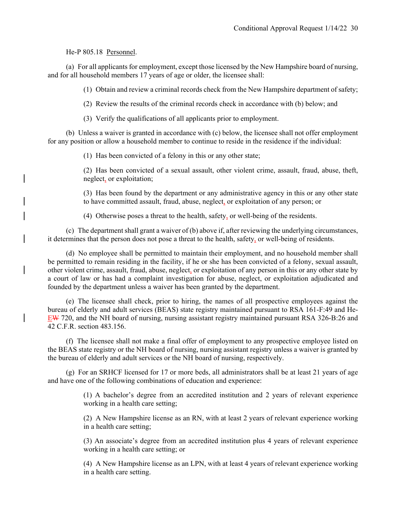He-P 805.18 Personnel.

 (a) For all applicants for employment, except those licensed by the New Hampshire board of nursing, and for all household members 17 years of age or older, the licensee shall:

(1) Obtain and review a criminal records check from the New Hampshire department of safety;

(2) Review the results of the criminal records check in accordance with (b) below; and

(3) Verify the qualifications of all applicants prior to employment.

 (b) Unless a waiver is granted in accordance with (c) below, the licensee shall not offer employment for any position or allow a household member to continue to reside in the residence if the individual:

(1) Has been convicted of a felony in this or any other state;

(2) Has been convicted of a sexual assault, other violent crime, assault, fraud, abuse, theft, neglect, or exploitation;

(3) Has been found by the department or any administrative agency in this or any other state to have committed assault, fraud, abuse, neglect, or exploitation of any person; or

(4) Otherwise poses a threat to the health, safety, or well-being of the residents.

 (c) The department shall grant a waiver of (b) above if, after reviewing the underlying circumstances, it determines that the person does not pose a threat to the health, safety, or well-being of residents.

 (d) No employee shall be permitted to maintain their employment, and no household member shall be permitted to remain residing in the facility, if he or she has been convicted of a felony, sexual assault, other violent crime, assault, fraud, abuse, neglect, or exploitation of any person in this or any other state by a court of law or has had a complaint investigation for abuse, neglect, or exploitation adjudicated and founded by the department unless a waiver has been granted by the department.

 (e) The licensee shall check, prior to hiring, the names of all prospective employees against the bureau of elderly and adult services (BEAS) state registry maintained pursuant to RSA 161-F:49 and He-EW 720, and the NH board of nursing, nursing assistant registry maintained pursuant RSA 326-B:26 and 42 C.F.R. section 483.156.

 (f) The licensee shall not make a final offer of employment to any prospective employee listed on the BEAS state registry or the NH board of nursing, nursing assistant registry unless a waiver is granted by the bureau of elderly and adult services or the NH board of nursing, respectively.

 (g) For an SRHCF licensed for 17 or more beds, all administrators shall be at least 21 years of age and have one of the following combinations of education and experience:

> (1) A bachelor's degree from an accredited institution and 2 years of relevant experience working in a health care setting;

> (2) A New Hampshire license as an RN, with at least 2 years of relevant experience working in a health care setting;

> (3) An associate's degree from an accredited institution plus 4 years of relevant experience working in a health care setting; or

> (4) A New Hampshire license as an LPN, with at least 4 years of relevant experience working in a health care setting.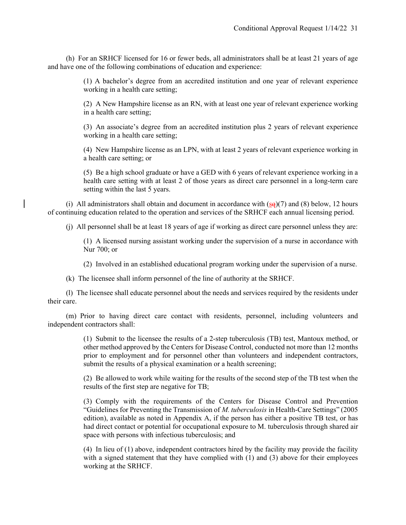(h) For an SRHCF licensed for 16 or fewer beds, all administrators shall be at least 21 years of age and have one of the following combinations of education and experience:

> (1) A bachelor's degree from an accredited institution and one year of relevant experience working in a health care setting;

> (2) A New Hampshire license as an RN, with at least one year of relevant experience working in a health care setting;

> (3) An associate's degree from an accredited institution plus 2 years of relevant experience working in a health care setting;

> (4) New Hampshire license as an LPN, with at least 2 years of relevant experience working in a health care setting; or

> (5) Be a high school graduate or have a GED with 6 years of relevant experience working in a health care setting with at least 2 of those years as direct care personnel in a long-term care setting within the last 5 years.

(i) All administrators shall obtain and document in accordance with  $(sq)(7)$  and (8) below, 12 hours of continuing education related to the operation and services of the SRHCF each annual licensing period.

(j) All personnel shall be at least 18 years of age if working as direct care personnel unless they are:

(1) A licensed nursing assistant working under the supervision of a nurse in accordance with Nur 700; or

(2) Involved in an established educational program working under the supervision of a nurse.

(k) The licensee shall inform personnel of the line of authority at the SRHCF.

 (l) The licensee shall educate personnel about the needs and services required by the residents under their care.

 (m) Prior to having direct care contact with residents, personnel, including volunteers and independent contractors shall:

> (1) Submit to the licensee the results of a 2-step tuberculosis (TB) test, Mantoux method, or other method approved by the Centers for Disease Control, conducted not more than 12 months prior to employment and for personnel other than volunteers and independent contractors, submit the results of a physical examination or a health screening;

> (2) Be allowed to work while waiting for the results of the second step of the TB test when the results of the first step are negative for TB;

> (3) Comply with the requirements of the Centers for Disease Control and Prevention "Guidelines for Preventing the Transmission of *M. tuberculosis* in Health-Care Settings" (2005 edition), available as noted in Appendix A, if the person has either a positive TB test, or has had direct contact or potential for occupational exposure to M. tuberculosis through shared air space with persons with infectious tuberculosis; and

> (4) In lieu of (1) above, independent contractors hired by the facility may provide the facility with a signed statement that they have complied with  $(1)$  and  $(3)$  above for their employees working at the SRHCF.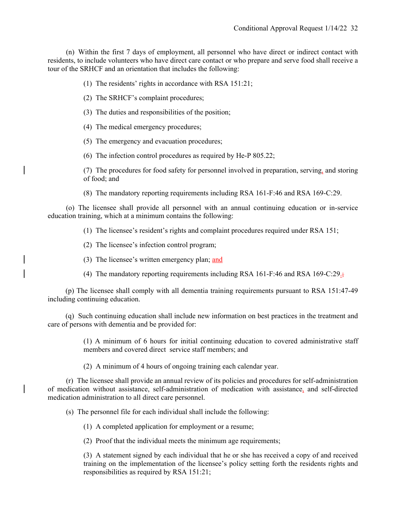(n) Within the first 7 days of employment, all personnel who have direct or indirect contact with residents, to include volunteers who have direct care contact or who prepare and serve food shall receive a tour of the SRHCF and an orientation that includes the following:

(1) The residents' rights in accordance with RSA 151:21;

(2) The SRHCF's complaint procedures;

(3) The duties and responsibilities of the position;

(4) The medical emergency procedures;

(5) The emergency and evacuation procedures;

(6) The infection control procedures as required by He-P 805.22;

(7) The procedures for food safety for personnel involved in preparation, serving, and storing of food; and

(8) The mandatory reporting requirements including RSA 161-F:46 and RSA 169-C:29.

 (o) The licensee shall provide all personnel with an annual continuing education or in-service education training, which at a minimum contains the following:

(1) The licensee's resident's rights and complaint procedures required under RSA 151;

(2) The licensee's infection control program;

(3) The licensee's written emergency plan; and

(4) The mandatory reporting requirements including RSA 161-F:46 and RSA 169-C:29. $\pm$ 

(p) The licensee shall comply with all dementia training requirements pursuant to RSA 151:47-49 including continuing education.

(q) Such continuing education shall include new information on best practices in the treatment and care of persons with dementia and be provided for:

> (1) A minimum of 6 hours for initial continuing education to covered administrative staff members and covered direct service staff members; and

(2) A minimum of 4 hours of ongoing training each calendar year.

 (r) The licensee shall provide an annual review of its policies and procedures for self-administration of medication without assistance, self-administration of medication with assistance, and self-directed medication administration to all direct care personnel.

(s) The personnel file for each individual shall include the following:

(1) A completed application for employment or a resume;

(2) Proof that the individual meets the minimum age requirements;

(3) A statement signed by each individual that he or she has received a copy of and received training on the implementation of the licensee's policy setting forth the residents rights and responsibilities as required by RSA 151:21;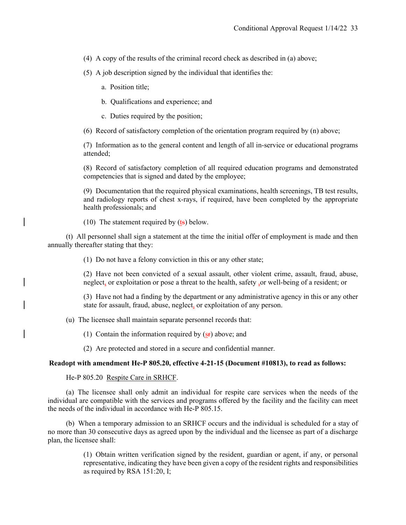(4) A copy of the results of the criminal record check as described in (a) above;

(5) A job description signed by the individual that identifies the:

a. Position title;

b. Qualifications and experience; and

c. Duties required by the position;

(6) Record of satisfactory completion of the orientation program required by (n) above;

(7) Information as to the general content and length of all in-service or educational programs attended;

(8) Record of satisfactory completion of all required education programs and demonstrated competencies that is signed and dated by the employee;

(9) Documentation that the required physical examinations, health screenings, TB test results, and radiology reports of chest x-rays, if required, have been completed by the appropriate health professionals; and

(10) The statement required by  $(\text{ts})$  below.

 (t) All personnel shall sign a statement at the time the initial offer of employment is made and then annually thereafter stating that they:

(1) Do not have a felony conviction in this or any other state;

(2) Have not been convicted of a sexual assault, other violent crime, assault, fraud, abuse, neglect, or exploitation or pose a threat to the health, safety ,or well-being of a resident; or

(3) Have not had a finding by the department or any administrative agency in this or any other state for assault, fraud, abuse, neglect, or exploitation of any person.

(u) The licensee shall maintain separate personnel records that:

(1) Contain the information required by  $(s_f)$  above; and

(2) Are protected and stored in a secure and confidential manner.

## **Readopt with amendment He-P 805.20, effective 4-21-15 (Document #10813), to read as follows:**

He-P 805.20 Respite Care in SRHCF.

 (a) The licensee shall only admit an individual for respite care services when the needs of the individual are compatible with the services and programs offered by the facility and the facility can meet the needs of the individual in accordance with He-P 805.15.

 (b) When a temporary admission to an SRHCF occurs and the individual is scheduled for a stay of no more than 30 consecutive days as agreed upon by the individual and the licensee as part of a discharge plan, the licensee shall:

> (1) Obtain written verification signed by the resident, guardian or agent, if any, or personal representative, indicating they have been given a copy of the resident rights and responsibilities as required by RSA 151:20, I;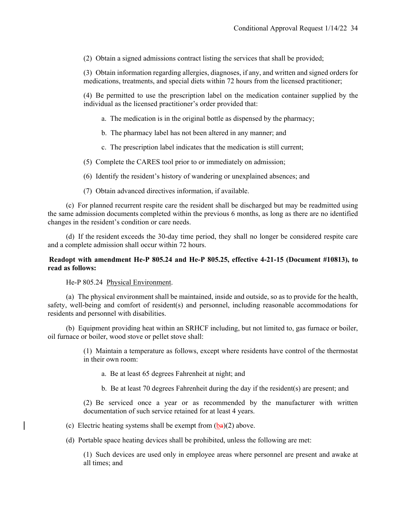(2) Obtain a signed admissions contract listing the services that shall be provided;

(3) Obtain information regarding allergies, diagnoses, if any, and written and signed orders for medications, treatments, and special diets within 72 hours from the licensed practitioner;

(4) Be permitted to use the prescription label on the medication container supplied by the individual as the licensed practitioner's order provided that:

a. The medication is in the original bottle as dispensed by the pharmacy;

- b. The pharmacy label has not been altered in any manner; and
- c. The prescription label indicates that the medication is still current;
- (5) Complete the CARES tool prior to or immediately on admission;
- (6) Identify the resident's history of wandering or unexplained absences; and
- (7) Obtain advanced directives information, if available.

 (c) For planned recurrent respite care the resident shall be discharged but may be readmitted using the same admission documents completed within the previous 6 months, as long as there are no identified changes in the resident's condition or care needs.

 (d) If the resident exceeds the 30-day time period, they shall no longer be considered respite care and a complete admission shall occur within 72 hours.

# **Readopt with amendment He-P 805.24 and He-P 805.25, effective 4-21-15 (Document #10813), to read as follows:**

He-P 805.24 Physical Environment.

 (a) The physical environment shall be maintained, inside and outside, so as to provide for the health, safety, well-being and comfort of resident(s) and personnel, including reasonable accommodations for residents and personnel with disabilities.

 (b) Equipment providing heat within an SRHCF including, but not limited to, gas furnace or boiler, oil furnace or boiler, wood stove or pellet stove shall:

> (1) Maintain a temperature as follows, except where residents have control of the thermostat in their own room:

- a. Be at least 65 degrees Fahrenheit at night; and
- b. Be at least 70 degrees Fahrenheit during the day if the resident(s) are present; and

(2) Be serviced once a year or as recommended by the manufacturer with written documentation of such service retained for at least 4 years.

(c) Electric heating systems shall be exempt from  $(ba)(2)$  above.

(d) Portable space heating devices shall be prohibited, unless the following are met:

(1) Such devices are used only in employee areas where personnel are present and awake at all times; and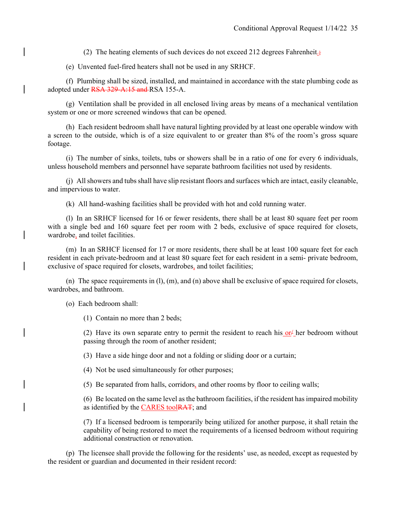(2) The heating elements of such devices do not exceed 212 degrees Fahrenheit.;

(e) Unvented fuel-fired heaters shall not be used in any SRHCF.

 (f) Plumbing shall be sized, installed, and maintained in accordance with the state plumbing code as adopted under RSA 329-A:15 and RSA 155-A.

 (g) Ventilation shall be provided in all enclosed living areas by means of a mechanical ventilation system or one or more screened windows that can be opened.

 (h) Each resident bedroom shall have natural lighting provided by at least one operable window with a screen to the outside, which is of a size equivalent to or greater than 8% of the room's gross square footage.

 (i) The number of sinks, toilets, tubs or showers shall be in a ratio of one for every 6 individuals, unless household members and personnel have separate bathroom facilities not used by residents.

 (j) All showers and tubs shall have slip resistant floors and surfaces which are intact, easily cleanable, and impervious to water.

(k) All hand-washing facilities shall be provided with hot and cold running water.

 (l) In an SRHCF licensed for 16 or fewer residents, there shall be at least 80 square feet per room with a single bed and 160 square feet per room with 2 beds, exclusive of space required for closets, wardrobe, and toilet facilities.

 (m) In an SRHCF licensed for 17 or more residents, there shall be at least 100 square feet for each resident in each private-bedroom and at least 80 square feet for each resident in a semi- private bedroom, exclusive of space required for closets, wardrobes, and toilet facilities;

 (n) The space requirements in (l), (m), and (n) above shall be exclusive of space required for closets, wardrobes, and bathroom.

(o) Each bedroom shall:

(1) Contain no more than 2 beds;

(2) Have its own separate entry to permit the resident to reach his  $or/$  her bedroom without passing through the room of another resident;

(3) Have a side hinge door and not a folding or sliding door or a curtain;

(4) Not be used simultaneously for other purposes;

(5) Be separated from halls, corridors, and other rooms by floor to ceiling walls;

(6) Be located on the same level as the bathroom facilities, if the resident has impaired mobility as identified by the CARES toolRAT; and

(7) If a licensed bedroom is temporarily being utilized for another purpose, it shall retain the capability of being restored to meet the requirements of a licensed bedroom without requiring additional construction or renovation.

 (p) The licensee shall provide the following for the residents' use, as needed, except as requested by the resident or guardian and documented in their resident record: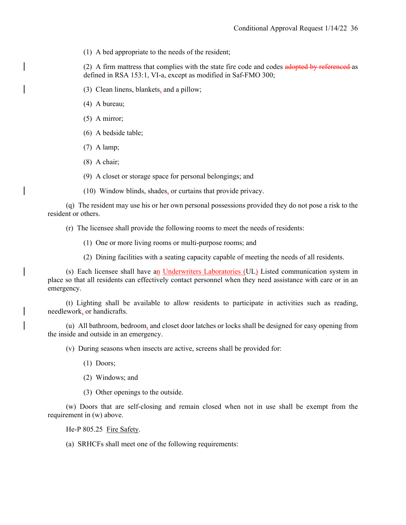(1) A bed appropriate to the needs of the resident;

(2) A firm mattress that complies with the state fire code and codes adopted by referenced as defined in RSA 153:1, VI-a, except as modified in Saf-FMO 300;

(3) Clean linens, blankets, and a pillow;

(4) A bureau;

(5) A mirror;

(6) A bedside table;

(7) A lamp;

(8) A chair;

(9) A closet or storage space for personal belongings; and

(10) Window blinds, shades, or curtains that provide privacy.

 (q) The resident may use his or her own personal possessions provided they do not pose a risk to the resident or others.

(r) The licensee shall provide the following rooms to meet the needs of residents:

(1) One or more living rooms or multi-purpose rooms; and

(2) Dining facilities with a seating capacity capable of meeting the needs of all residents.

 (s) Each licensee shall have an Underwriters Laboratories (UL) Listed communication system in place so that all residents can effectively contact personnel when they need assistance with care or in an emergency.

 (t) Lighting shall be available to allow residents to participate in activities such as reading, needlework, or handicrafts.

 (u) All bathroom, bedroom, and closet door latches or locks shall be designed for easy opening from the inside and outside in an emergency.

(v) During seasons when insects are active, screens shall be provided for:

(1) Doors;

(2) Windows; and

(3) Other openings to the outside.

 (w) Doors that are self-closing and remain closed when not in use shall be exempt from the requirement in (w) above.

He-P 805.25 Fire Safety.

(a) SRHCFs shall meet one of the following requirements: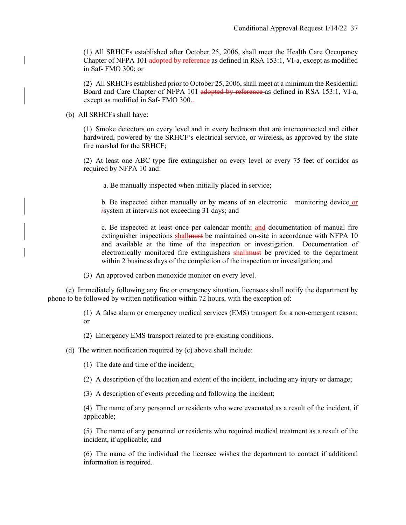(1) All SRHCFs established after October 25, 2006, shall meet the Health Care Occupancy Chapter of NFPA 101-adopted by reference as defined in RSA 153:1, VI-a, except as modified in Saf- FMO 300; or

(2) All SRHCFs established prior to October 25, 2006, shall meet at a minimum the Residential Board and Care Chapter of NFPA 101 adopted by reference as defined in RSA 153:1, VI-a, except as modified in Saf- FMO 300..

(b) All SRHCFs shall have:

(1) Smoke detectors on every level and in every bedroom that are interconnected and either hardwired, powered by the SRHCF's electrical service, or wireless, as approved by the state fire marshal for the SRHCF;

(2) At least one ABC type fire extinguisher on every level or every 75 feet of corridor as required by NFPA 10 and:

a. Be manually inspected when initially placed in service;

b. Be inspected either manually or by means of an electronic monitoring device or /system at intervals not exceeding 31 days; and

c. Be inspected at least once per calendar month $\frac{1}{2}$  and documentation of manual fire extinguisher inspections shall must be maintained on-site in accordance with NFPA 10 and available at the time of the inspection or investigation. Documentation of electronically monitored fire extinguishers shall must be provided to the department within 2 business days of the completion of the inspection or investigation; and

(3) An approved carbon monoxide monitor on every level.

 (c) Immediately following any fire or emergency situation, licensees shall notify the department by phone to be followed by written notification within 72 hours, with the exception of:

> (1) A false alarm or emergency medical services (EMS) transport for a non-emergent reason; or

(2) Emergency EMS transport related to pre-existing conditions.

(d) The written notification required by (c) above shall include:

(1) The date and time of the incident;

(2) A description of the location and extent of the incident, including any injury or damage;

(3) A description of events preceding and following the incident;

(4) The name of any personnel or residents who were evacuated as a result of the incident, if applicable;

(5) The name of any personnel or residents who required medical treatment as a result of the incident, if applicable; and

(6) The name of the individual the licensee wishes the department to contact if additional information is required.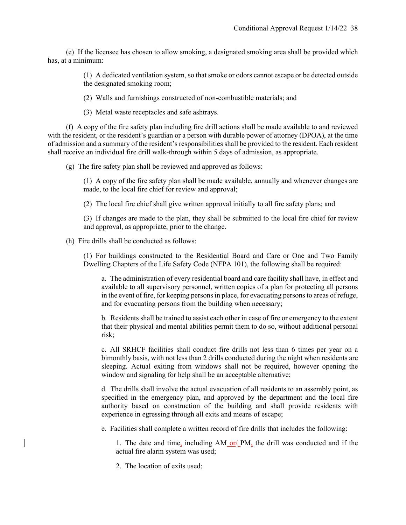(e) If the licensee has chosen to allow smoking, a designated smoking area shall be provided which has, at a minimum:

> (1) A dedicated ventilation system, so that smoke or odors cannot escape or be detected outside the designated smoking room;

(2) Walls and furnishings constructed of non-combustible materials; and

(3) Metal waste receptacles and safe ashtrays.

 (f) A copy of the fire safety plan including fire drill actions shall be made available to and reviewed with the resident, or the resident's guardian or a person with durable power of attorney (DPOA), at the time of admission and a summary of the resident's responsibilities shall be provided to the resident. Each resident shall receive an individual fire drill walk-through within 5 days of admission, as appropriate.

(g) The fire safety plan shall be reviewed and approved as follows:

(1) A copy of the fire safety plan shall be made available, annually and whenever changes are made, to the local fire chief for review and approval;

(2) The local fire chief shall give written approval initially to all fire safety plans; and

(3) If changes are made to the plan, they shall be submitted to the local fire chief for review and approval, as appropriate, prior to the change.

(h) Fire drills shall be conducted as follows:

(1) For buildings constructed to the Residential Board and Care or One and Two Family Dwelling Chapters of the Life Safety Code (NFPA 101), the following shall be required:

a. The administration of every residential board and care facility shall have, in effect and available to all supervisory personnel, written copies of a plan for protecting all persons in the event of fire, for keeping persons in place, for evacuating persons to areas of refuge, and for evacuating persons from the building when necessary;

b. Residents shall be trained to assist each other in case of fire or emergency to the extent that their physical and mental abilities permit them to do so, without additional personal risk;

c. All SRHCF facilities shall conduct fire drills not less than 6 times per year on a bimonthly basis, with not less than 2 drills conducted during the night when residents are sleeping. Actual exiting from windows shall not be required, however opening the window and signaling for help shall be an acceptable alternative;

d. The drills shall involve the actual evacuation of all residents to an assembly point, as specified in the emergency plan, and approved by the department and the local fire authority based on construction of the building and shall provide residents with experience in egressing through all exits and means of escape;

e. Facilities shall complete a written record of fire drills that includes the following:

1. The date and time, including  $AM_0r/M$ , the drill was conducted and if the actual fire alarm system was used;

2. The location of exits used;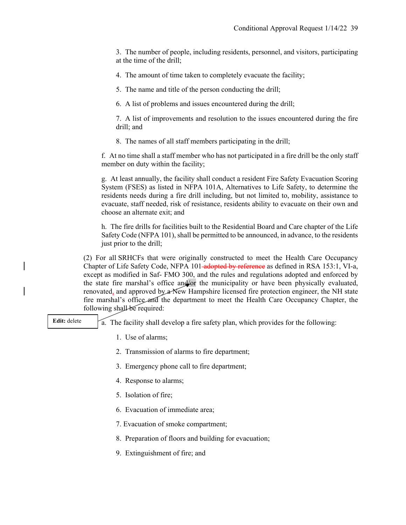3. The number of people, including residents, personnel, and visitors, participating at the time of the drill;

4. The amount of time taken to completely evacuate the facility;

5. The name and title of the person conducting the drill;

6. A list of problems and issues encountered during the drill;

7. A list of improvements and resolution to the issues encountered during the fire drill; and

8. The names of all staff members participating in the drill;

f. At no time shall a staff member who has not participated in a fire drill be the only staff member on duty within the facility;

g. At least annually, the facility shall conduct a resident Fire Safety Evacuation Scoring System (FSES) as listed in NFPA 101A, Alternatives to Life Safety, to determine the residents needs during a fire drill including, but not limited to, mobility, assistance to evacuate, staff needed, risk of resistance, residents ability to evacuate on their own and choose an alternate exit; and

h. The fire drills for facilities built to the Residential Board and Care chapter of the Life Safety Code (NFPA 101), shall be permitted to be announced, in advance, to the residents just prior to the drill;

(2) For all SRHCFs that were originally constructed to meet the Health Care Occupancy Chapter of Life Safety Code, NFPA 101-adopted by reference as defined in RSA 153:1, VI-a, except as modified in Saf- FMO 300, and the rules and regulations adopted and enforced by the state fire marshal's office and/or the municipality or have been physically evaluated, renovated, and approved by a New Hampshire licensed fire protection engineer, the NH state fire marshal's office and the department to meet the Health Care Occupancy Chapter, the following shall be required:

**Edit:** delete

a. The facility shall develop a fire safety plan, which provides for the following:

- 1. Use of alarms;
- 2. Transmission of alarms to fire department;
- 3. Emergency phone call to fire department;
- 4. Response to alarms;
- 5. Isolation of fire;
- 6. Evacuation of immediate area;
- 7. Evacuation of smoke compartment;
- 8. Preparation of floors and building for evacuation;
- 9. Extinguishment of fire; and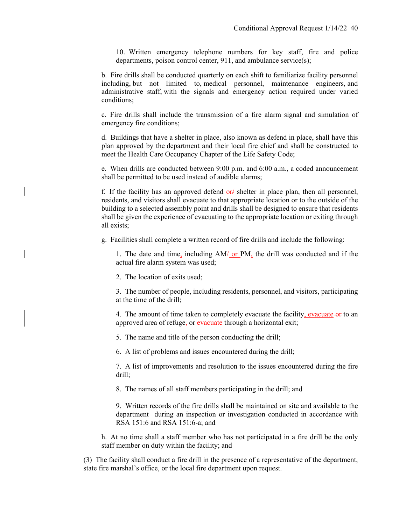10. Written emergency telephone numbers for key staff, fire and police departments, poison control center, 911, and ambulance service(s);

b. Fire drills shall be conducted quarterly on each shift to familiarize facility personnel including, but not limited to, medical personnel, maintenance engineers, and administrative staff, with the signals and emergency action required under varied conditions;

c. Fire drills shall include the transmission of a fire alarm signal and simulation of emergency fire conditions;

d. Buildings that have a shelter in place, also known as defend in place, shall have this plan approved by the department and their local fire chief and shall be constructed to meet the Health Care Occupancy Chapter of the Life Safety Code;

e. When drills are conducted between 9:00 p.m. and 6:00 a.m., a coded announcement shall be permitted to be used instead of audible alarms;

f. If the facility has an approved defend or  $\angle$  shelter in place plan, then all personnel, residents, and visitors shall evacuate to that appropriate location or to the outside of the building to a selected assembly point and drills shall be designed to ensure that residents shall be given the experience of evacuating to the appropriate location or exiting through all exists;

g. Facilities shall complete a written record of fire drills and include the following:

1. The date and time, including  $AM\frac{1}{r}$  or PM, the drill was conducted and if the actual fire alarm system was used;

2. The location of exits used;

3. The number of people, including residents, personnel, and visitors, participating at the time of the drill;

4. The amount of time taken to completely evacuate the facility, evacuate-or to an approved area of refuge, or evacuate through a horizontal exit;

5. The name and title of the person conducting the drill;

6. A list of problems and issues encountered during the drill;

7. A list of improvements and resolution to the issues encountered during the fire drill;

8. The names of all staff members participating in the drill; and

9. Written records of the fire drills shall be maintained on site and available to the department during an inspection or investigation conducted in accordance with RSA 151:6 and RSA 151:6-a; and

h. At no time shall a staff member who has not participated in a fire drill be the only staff member on duty within the facility; and

(3) The facility shall conduct a fire drill in the presence of a representative of the department, state fire marshal's office, or the local fire department upon request.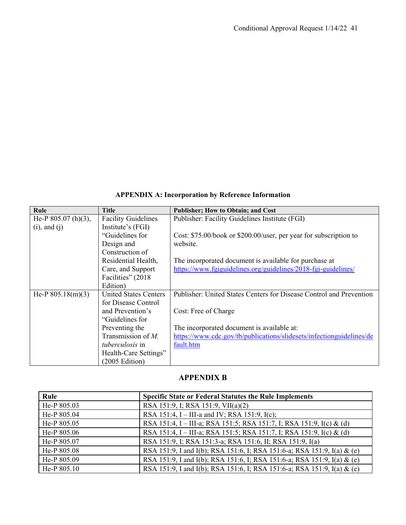# **APPENDIX A: Incorporation by Reference Information**

| Rule                  | <b>Title</b>                 | Publisher; How to Obtain; and Cost                                   |
|-----------------------|------------------------------|----------------------------------------------------------------------|
| He-P $805.07$ (h)(3), | <b>Facility Guidelines</b>   | Publisher: Facility Guidelines Institute (FGI)                       |
| $(i)$ , and $(j)$     | Institute's (FGI)            |                                                                      |
|                       | "Guidelines for              | Cost: \$75.00/book or \$200.00/user, per year for subscription to    |
|                       | Design and                   | website.                                                             |
|                       | Construction of              |                                                                      |
|                       | Residential Health,          | The incorporated document is available for purchase at               |
|                       | Care, and Support            | https://www.fgiguidelines.org/guidelines/2018-fgi-guidelines/        |
|                       | Facilities" (2018)           |                                                                      |
|                       | Edition)                     |                                                                      |
| He-P $805.18(m)(3)$   | <b>United States Centers</b> | Publisher: United States Centers for Disease Control and Prevention  |
|                       | for Disease Control          |                                                                      |
|                       | and Prevention's             | Cost: Free of Charge                                                 |
|                       | "Guidelines for              |                                                                      |
|                       | Preventing the               | The incorporated document is available at:                           |
|                       | Transmission of $M$ .        | https://www.cdc.gov/tb/publications/slidesets/infectionguidelines/de |
|                       | <i>tuberculosis</i> in       | fault.htm                                                            |
|                       | Health-Care Settings"        |                                                                      |
|                       | (2005 Edition)               |                                                                      |

# **APPENDIX B**

| Rule        | <b>Specific State or Federal Statutes the Rule Implements</b>           |
|-------------|-------------------------------------------------------------------------|
| He-P 805.03 | RSA 151:9, I; RSA 151:9, VII(a)(2)                                      |
| He-P 805.04 | RSA 151:4, I – III-a and IV; RSA 151:9, I(c);                           |
| He-P 805.05 | RSA 151:4, I – III-a; RSA 151:5; RSA 151:7, I; RSA 151:9, I(c) & (d)    |
| He-P 805.06 | RSA 151:4, I – III-a; RSA 151:5; RSA 151:7, I; RSA 151:9, I(c) & (d)    |
| He-P 805.07 | RSA 151:9, I; RSA 151:3-a; RSA 151:6, II; RSA 151:9, I(a)               |
| He-P 805.08 | RSA 151:9, I and I(b); RSA 151:6, I; RSA 151:6-a; RSA 151:9, I(a) & (e) |
| He-P 805.09 | RSA 151:9, I and I(b); RSA 151:6, I; RSA 151:6-a; RSA 151:9, I(a) & (e) |
| He-P 805.10 | RSA 151:9, I and I(b); RSA 151:6, I; RSA 151:6-a; RSA 151:9, I(a) & (e) |